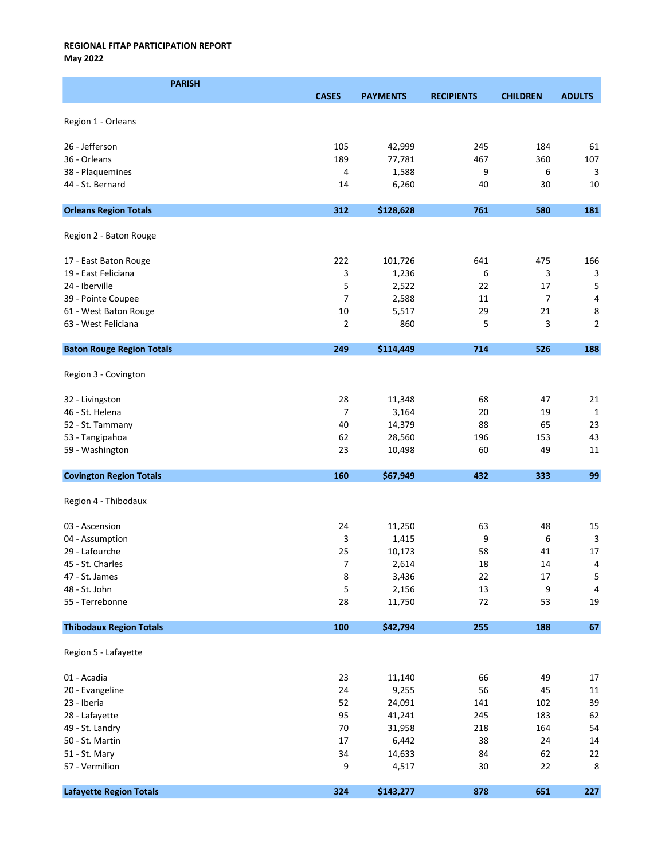May 2022

| <b>PARISH</b>                    |                |                 |                   |                 |                |
|----------------------------------|----------------|-----------------|-------------------|-----------------|----------------|
|                                  | <b>CASES</b>   | <b>PAYMENTS</b> | <b>RECIPIENTS</b> | <b>CHILDREN</b> | <b>ADULTS</b>  |
|                                  |                |                 |                   |                 |                |
| Region 1 - Orleans               |                |                 |                   |                 |                |
|                                  |                |                 |                   |                 |                |
| 26 - Jefferson                   | 105            | 42,999          | 245               | 184             | 61             |
| 36 - Orleans                     | 189            | 77,781          | 467               | 360             | 107            |
| 38 - Plaquemines                 | 4              | 1,588           | 9<br>40           | 6               | 3              |
| 44 - St. Bernard                 | 14             | 6,260           |                   | 30              | 10             |
| <b>Orleans Region Totals</b>     | 312            | \$128,628       | 761               | 580             | 181            |
| Region 2 - Baton Rouge           |                |                 |                   |                 |                |
| 17 - East Baton Rouge            | 222            | 101,726         | 641               | 475             | 166            |
| 19 - East Feliciana              | 3              | 1,236           | 6                 | 3               | 3              |
| 24 - Iberville                   | 5              | 2,522           | 22                | 17              | 5              |
| 39 - Pointe Coupee               | $\overline{7}$ | 2,588           | 11                | $\overline{7}$  | 4              |
| 61 - West Baton Rouge            | 10             | 5,517           | 29                | 21              | 8              |
| 63 - West Feliciana              | $\overline{2}$ | 860             | 5                 | 3               | $\overline{2}$ |
| <b>Baton Rouge Region Totals</b> | 249            | \$114,449       | 714               | 526             | 188            |
|                                  |                |                 |                   |                 |                |
| Region 3 - Covington             |                |                 |                   |                 |                |
| 32 - Livingston                  | 28             | 11,348          | 68                | 47              | 21             |
| 46 - St. Helena                  | $\overline{7}$ | 3,164           | 20                | 19              | $\mathbf{1}$   |
| 52 - St. Tammany                 | 40             | 14,379          | 88                | 65              | 23             |
| 53 - Tangipahoa                  | 62             | 28,560          | 196               | 153             | 43             |
| 59 - Washington                  | 23             | 10,498          | 60                | 49              | 11             |
| <b>Covington Region Totals</b>   | 160            | \$67,949        | 432               | 333             | 99             |
| Region 4 - Thibodaux             |                |                 |                   |                 |                |
| 03 - Ascension                   | 24             | 11,250          | 63                | 48              | 15             |
| 04 - Assumption                  | 3              | 1,415           | 9                 | 6               | 3              |
| 29 - Lafourche                   | 25             | 10,173          | 58                | 41              | 17             |
| 45 - St. Charles                 | 7              | 2,614           | 18                | 14              | $\overline{4}$ |
| 47 - St. James                   | 8              | 3,436           | 22                | 17              | 5              |
| 48 - St. John                    | 5              | 2,156           | 13                | 9               | 4              |
| 55 - Terrebonne                  | 28             | 11,750          | 72                | 53              | 19             |
| <b>Thibodaux Region Totals</b>   | 100            | \$42,794        | 255               | 188             | $\bf 67$       |
| Region 5 - Lafayette             |                |                 |                   |                 |                |
| 01 - Acadia                      | 23             | 11,140          | 66                | 49              | $17\,$         |
| 20 - Evangeline                  | 24             | 9,255           | 56                | 45              | 11             |
| 23 - Iberia                      | 52             | 24,091          | 141               | 102             | 39             |
| 28 - Lafayette                   | 95             | 41,241          | 245               | 183             | 62             |
| 49 - St. Landry                  | 70             | 31,958          | 218               | 164             | 54             |
| 50 - St. Martin                  | 17             | 6,442           | 38                | 24              | 14             |
| 51 - St. Mary                    | 34             | 14,633          | 84                | 62              | 22             |
| 57 - Vermilion                   | 9              | 4,517           | 30                | 22              | 8              |
|                                  |                |                 |                   |                 |                |
| <b>Lafayette Region Totals</b>   | 324            | \$143,277       | 878               | 651             | 227            |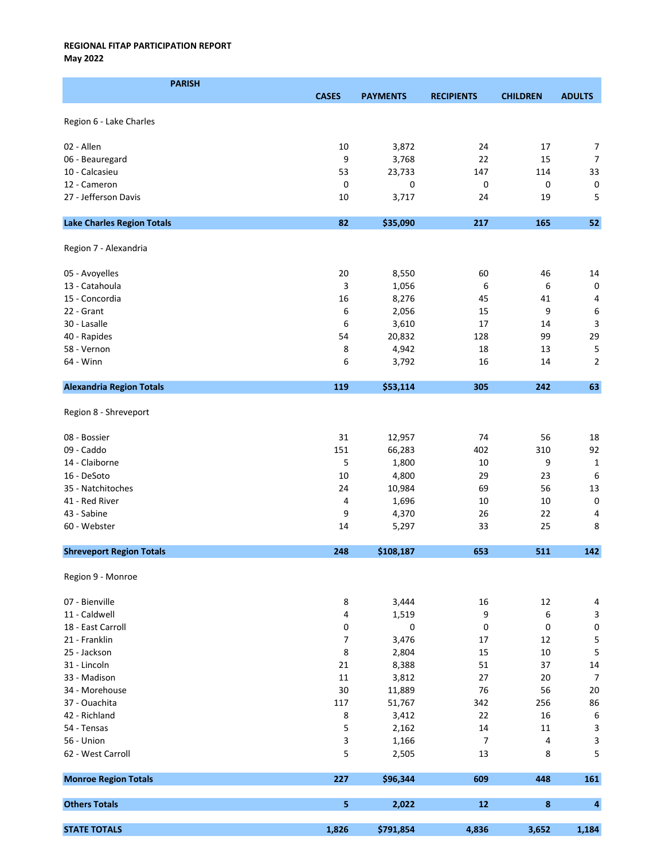May 2022

| <b>PARISH</b>                     |              |                 |                   |                 |                           |
|-----------------------------------|--------------|-----------------|-------------------|-----------------|---------------------------|
|                                   | <b>CASES</b> | <b>PAYMENTS</b> | <b>RECIPIENTS</b> | <b>CHILDREN</b> | <b>ADULTS</b>             |
|                                   |              |                 |                   |                 |                           |
| Region 6 - Lake Charles           |              |                 |                   |                 |                           |
| 02 - Allen                        | 10           | 3,872           | 24                | 17              | $\overline{7}$            |
| 06 - Beauregard                   | 9            | 3,768           | 22                | 15              | $\overline{7}$            |
| 10 - Calcasieu                    | 53           | 23,733          | 147               | 114             | 33                        |
| 12 - Cameron                      | 0            | 0               | 0                 | 0               | $\pmb{0}$                 |
| 27 - Jefferson Davis              |              |                 |                   |                 | 5                         |
|                                   | 10           | 3,717           | 24                | 19              |                           |
| <b>Lake Charles Region Totals</b> | 82           | \$35,090        | 217               | 165             | 52                        |
| Region 7 - Alexandria             |              |                 |                   |                 |                           |
| 05 - Avoyelles                    | 20           | 8,550           | 60                | 46              | 14                        |
| 13 - Catahoula                    | 3            | 1,056           | 6                 | 6               | $\mathbf 0$               |
| 15 - Concordia                    | 16           | 8,276           | 45                | 41              | 4                         |
| 22 - Grant                        | 6            | 2,056           | 15                | 9               | 6                         |
| 30 - Lasalle                      | 6            | 3,610           | 17                | 14              | 3                         |
| 40 - Rapides                      | 54           | 20,832          | 128               | 99              | 29                        |
| 58 - Vernon                       | 8            | 4,942           | 18                | 13              | 5                         |
|                                   |              |                 |                   |                 | $\overline{2}$            |
| 64 - Winn                         | 6            | 3,792           | 16                | 14              |                           |
| <b>Alexandria Region Totals</b>   | 119          | \$53,114        | 305               | 242             | 63                        |
| Region 8 - Shreveport             |              |                 |                   |                 |                           |
| 08 - Bossier                      | 31           | 12,957          | 74                | 56              | 18                        |
| 09 - Caddo                        | 151          | 66,283          | 402               | 310             | 92                        |
| 14 - Claiborne                    | 5            | 1,800           | 10                | 9               | $\mathbf{1}$              |
| 16 - DeSoto                       | 10           | 4,800           | 29                | 23              | 6                         |
| 35 - Natchitoches                 | 24           | 10,984          | 69                | 56              | 13                        |
| 41 - Red River                    | 4            | 1,696           | 10                | 10              | $\mathbf 0$               |
| 43 - Sabine                       | 9            | 4,370           | 26                | 22              | 4                         |
| 60 - Webster                      | 14           | 5,297           | 33                | 25              | 8                         |
| <b>Shreveport Region Totals</b>   | 248          | \$108,187       | 653               | 511             | 142                       |
|                                   |              |                 |                   |                 |                           |
| Region 9 - Monroe                 |              |                 |                   |                 |                           |
| 07 - Bienville                    | 8            | 3,444           | 16                | 12              | $\overline{4}$            |
| 11 - Caldwell                     | 4            | 1,519           | 9                 | 6               | $\ensuremath{\mathsf{3}}$ |
| 18 - East Carroll                 | 0            | $\pmb{0}$       | 0                 | 0               | 0                         |
| 21 - Franklin                     | 7            | 3,476           | 17                | 12              | 5                         |
| 25 - Jackson                      | 8            | 2,804           | 15                | 10              | 5                         |
| 31 - Lincoln                      | 21           | 8,388           | 51                | 37              | $14\,$                    |
| 33 - Madison                      | $11\,$       | 3,812           | 27                | 20              | $\overline{7}$            |
| 34 - Morehouse                    | 30           | 11,889          | 76                | 56              | 20                        |
| 37 - Ouachita                     | 117          | 51,767          | 342               | 256             | 86                        |
| 42 - Richland                     | 8            |                 | 22                | 16              | $\boldsymbol{6}$          |
|                                   |              | 3,412           |                   |                 |                           |
| 54 - Tensas                       | 5            | 2,162           | 14                | 11              | $\ensuremath{\mathsf{3}}$ |
| 56 - Union                        | 3            | 1,166           | $\overline{7}$    | 4               | $\mathsf 3$               |
| 62 - West Carroll                 | 5            | 2,505           | 13                | 8               | 5                         |
| <b>Monroe Region Totals</b>       | 227          | \$96,344        | 609               | 448             | 161                       |
| <b>Others Totals</b>              | 5            | 2,022           | 12                | $\pmb{8}$       | $\overline{\mathbf{4}}$   |
| <b>STATE TOTALS</b>               | 1,826        | \$791,854       | 4,836             | 3,652           | 1,184                     |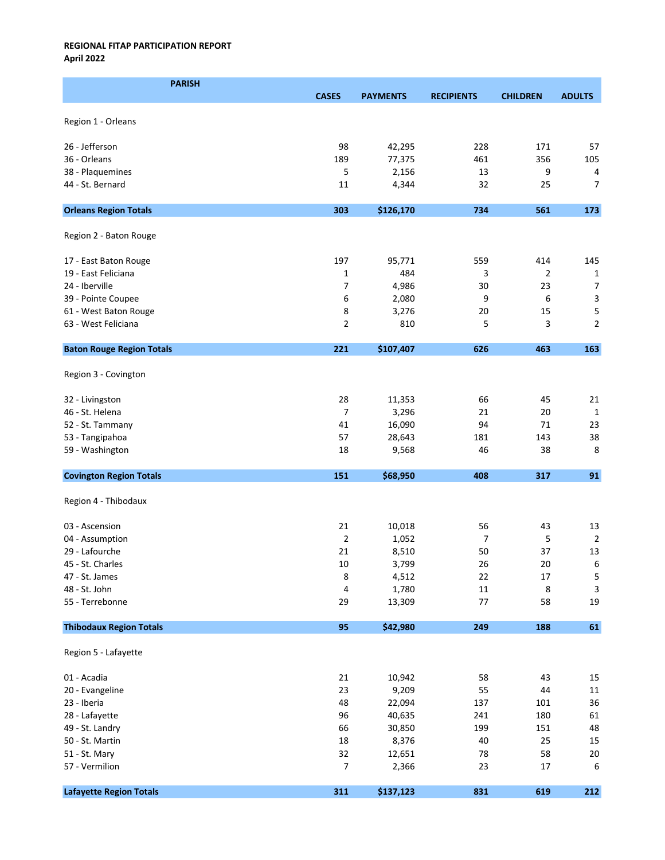| <b>PARISH</b>                    |                  |                 |                   |                 |                  |
|----------------------------------|------------------|-----------------|-------------------|-----------------|------------------|
|                                  | <b>CASES</b>     | <b>PAYMENTS</b> | <b>RECIPIENTS</b> | <b>CHILDREN</b> | <b>ADULTS</b>    |
|                                  |                  |                 |                   |                 |                  |
| Region 1 - Orleans               |                  |                 |                   |                 |                  |
|                                  |                  |                 |                   |                 |                  |
| 26 - Jefferson                   | 98               | 42,295          | 228               | 171             | 57               |
| 36 - Orleans                     | 189              | 77,375          | 461               | 356             | 105              |
| 38 - Plaquemines                 | 5<br>11          | 2,156           | 13                | 9<br>25         | 4                |
| 44 - St. Bernard                 |                  | 4,344           | 32                |                 | 7                |
| <b>Orleans Region Totals</b>     | 303              | \$126,170       | 734               | 561             | 173              |
| Region 2 - Baton Rouge           |                  |                 |                   |                 |                  |
| 17 - East Baton Rouge            | 197              | 95,771          | 559               | 414             | 145              |
| 19 - East Feliciana              | 1                | 484             | 3                 | $\overline{2}$  | 1                |
| 24 - Iberville                   | $\overline{7}$   | 4,986           | 30                | 23              | $\overline{7}$   |
| 39 - Pointe Coupee               | 6                | 2,080           | 9                 | 6               | 3                |
| 61 - West Baton Rouge            | 8                | 3,276           | 20                | 15              | 5                |
| 63 - West Feliciana              | $\overline{2}$   | 810             | 5                 | 3               | $\overline{2}$   |
| <b>Baton Rouge Region Totals</b> | 221              | \$107,407       | 626               | 463             | 163              |
|                                  |                  |                 |                   |                 |                  |
| Region 3 - Covington             |                  |                 |                   |                 |                  |
| 32 - Livingston                  | 28               | 11,353          | 66                | 45              | 21               |
| 46 - St. Helena                  | 7                | 3,296           | 21                | 20              | 1                |
| 52 - St. Tammany                 | 41               | 16,090          | 94                | 71              | 23               |
| 53 - Tangipahoa                  | 57               | 28,643          | 181               | 143             | 38               |
| 59 - Washington                  | 18               | 9,568           | 46                | 38              | 8                |
|                                  |                  |                 |                   |                 |                  |
| <b>Covington Region Totals</b>   | 151              | \$68,950        | 408               | 317             | 91               |
| Region 4 - Thibodaux             |                  |                 |                   |                 |                  |
| 03 - Ascension                   | 21               | 10,018          | 56                | 43              | 13               |
| 04 - Assumption                  | $\overline{2}$   | 1,052           | $\overline{7}$    | 5               | $\overline{2}$   |
| 29 - Lafourche                   | 21               | 8,510           | 50                | 37              | 13               |
| 45 - St. Charles                 | $10\,$           | 3,799           | 26                | 20              | $\boldsymbol{6}$ |
| 47 - St. James                   | 8                | 4,512           | 22                | 17              | 5                |
| 48 - St. John                    | 4                | 1,780           | 11                | $\bf 8$         | $\mathsf 3$      |
| 55 - Terrebonne                  | 29               | 13,309          | 77                | 58              | 19               |
| <b>Thibodaux Region Totals</b>   | 95               | \$42,980        | 249               | 188             | $\bf 61$         |
| Region 5 - Lafayette             |                  |                 |                   |                 |                  |
|                                  |                  |                 |                   |                 |                  |
| 01 - Acadia                      | 21               | 10,942          | 58                | 43              | 15               |
| 20 - Evangeline                  | 23               | 9,209           | 55                | 44              | $11\,$           |
| 23 - Iberia                      | 48               | 22,094          | 137               | 101             | 36               |
| 28 - Lafayette                   | 96               | 40,635          | 241               | 180             | 61               |
| 49 - St. Landry                  | 66               | 30,850          | 199               | 151             | 48               |
| 50 - St. Martin                  | 18               | 8,376           | 40                | 25              | 15               |
| 51 - St. Mary                    | 32               | 12,651          | 78                | 58              | $20\,$           |
| 57 - Vermilion                   | $\boldsymbol{7}$ | 2,366           | 23                | 17              | 6                |
| <b>Lafayette Region Totals</b>   | 311              | \$137,123       | 831               | 619             | 212              |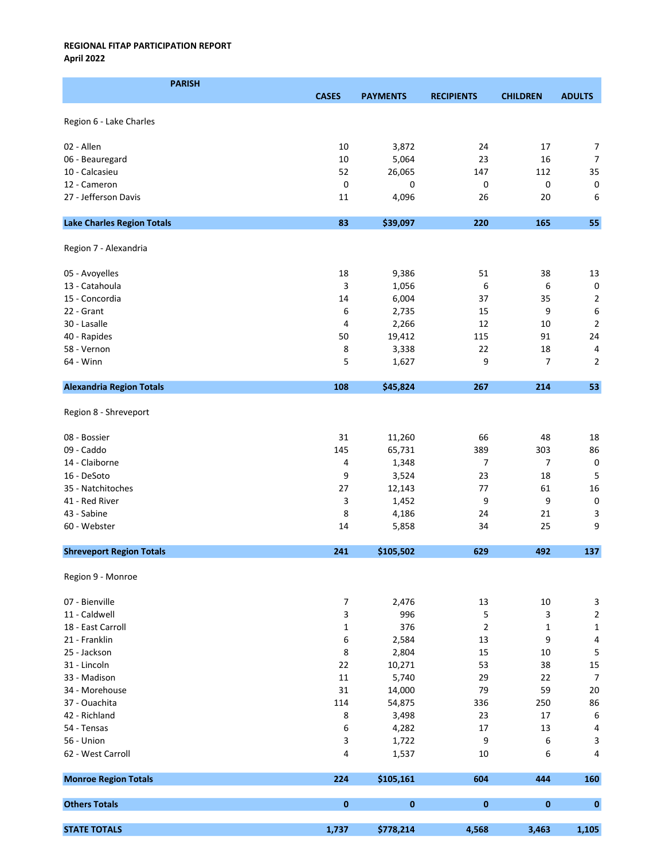| <b>PARISH</b>                     |                  |                 |                   |                 |                                |
|-----------------------------------|------------------|-----------------|-------------------|-----------------|--------------------------------|
|                                   | <b>CASES</b>     | <b>PAYMENTS</b> | <b>RECIPIENTS</b> | <b>CHILDREN</b> | <b>ADULTS</b>                  |
|                                   |                  |                 |                   |                 |                                |
| Region 6 - Lake Charles           |                  |                 |                   |                 |                                |
| 02 - Allen                        | 10               | 3,872           | 24                | 17              | 7                              |
| 06 - Beauregard                   | $10\,$           | 5,064           | 23                | 16              | 7                              |
|                                   | 52               |                 |                   | 112             |                                |
| 10 - Calcasieu                    |                  | 26,065          | 147               |                 | 35                             |
| 12 - Cameron                      | 0                | 0               | 0                 | 0               | $\pmb{0}$                      |
| 27 - Jefferson Davis              | 11               | 4,096           | 26                | 20              | 6                              |
| <b>Lake Charles Region Totals</b> | 83               | \$39,097        | 220               | 165             | 55                             |
| Region 7 - Alexandria             |                  |                 |                   |                 |                                |
| 05 - Avoyelles                    | 18               | 9,386           | 51                | 38              | 13                             |
| 13 - Catahoula                    | 3                | 1,056           | 6                 | 6               | $\pmb{0}$                      |
| 15 - Concordia                    | 14               | 6,004           | 37                | 35              | $\mathbf 2$                    |
| 22 - Grant                        |                  |                 |                   | 9               | 6                              |
|                                   | 6                | 2,735           | 15                |                 |                                |
| 30 - Lasalle                      | 4                | 2,266           | 12                | 10              | $\mathbf 2$                    |
| 40 - Rapides                      | 50               | 19,412          | 115               | 91              | 24                             |
| 58 - Vernon                       | 8                | 3,338           | 22                | 18              | 4                              |
| 64 - Winn                         | 5                | 1,627           | 9                 | 7               | $\overline{2}$                 |
| <b>Alexandria Region Totals</b>   | 108              | \$45,824        | 267               | 214             | 53                             |
| Region 8 - Shreveport             |                  |                 |                   |                 |                                |
| 08 - Bossier                      | 31               | 11,260          | 66                | 48              | 18                             |
| 09 - Caddo                        | 145              | 65,731          | 389               | 303             | 86                             |
| 14 - Claiborne                    | 4                | 1,348           | 7                 | 7               | $\pmb{0}$                      |
| 16 - DeSoto                       | 9                | 3,524           | 23                | 18              | 5                              |
| 35 - Natchitoches                 |                  |                 | 77                | 61              | 16                             |
|                                   | 27               | 12,143          |                   |                 |                                |
| 41 - Red River                    | 3                | 1,452           | 9                 | 9               | $\pmb{0}$                      |
| 43 - Sabine<br>60 - Webster       | 8                | 4,186           | 24                | 21              | 3<br>9                         |
|                                   | 14               | 5,858           | 34                | 25              |                                |
| <b>Shreveport Region Totals</b>   | 241              | \$105,502       | 629               | 492             | 137                            |
| Region 9 - Monroe                 |                  |                 |                   |                 |                                |
| 07 - Bienville                    | $\boldsymbol{7}$ | 2,476           | 13                | 10              | 3                              |
| 11 - Caldwell                     | 3                | 996             | 5                 | 3               | $\overline{\mathbf{c}}$        |
| 18 - East Carroll                 | 1                | 376             | $\overline{2}$    | $\mathbf 1$     | $\mathbf 1$                    |
| 21 - Franklin                     | 6                | 2,584           | 13                | 9               | 4                              |
| 25 - Jackson                      | 8                | 2,804           | 15                | 10              | 5                              |
| 31 - Lincoln                      | 22               | 10,271          | 53                | 38              | 15                             |
| 33 - Madison                      | 11               | 5,740           | 29                | 22              | $\overline{7}$                 |
| 34 - Morehouse                    | 31               | 14,000          | 79                | 59              | $20\,$                         |
| 37 - Ouachita                     | 114              | 54,875          | 336               | 250             | 86                             |
| 42 - Richland                     |                  |                 |                   | 17              |                                |
| 54 - Tensas                       | 8                | 3,498           | 23<br>17          | 13              | $\boldsymbol{6}$<br>$\sqrt{4}$ |
|                                   | 6                | 4,282           |                   |                 |                                |
| 56 - Union                        | 3                | 1,722           | 9                 | 6               | 3                              |
| 62 - West Carroll                 | 4                | 1,537           | 10                | 6               | 4                              |
| <b>Monroe Region Totals</b>       | 224              | \$105,161       | 604               | 444             | 160                            |
| <b>Others Totals</b>              | $\pmb{0}$        | $\bf{0}$        | $\mathbf{0}$      | $\pmb{0}$       | $\mathbf 0$                    |
| <b>STATE TOTALS</b>               | 1,737            | \$778,214       | 4,568             | 3,463           | 1,105                          |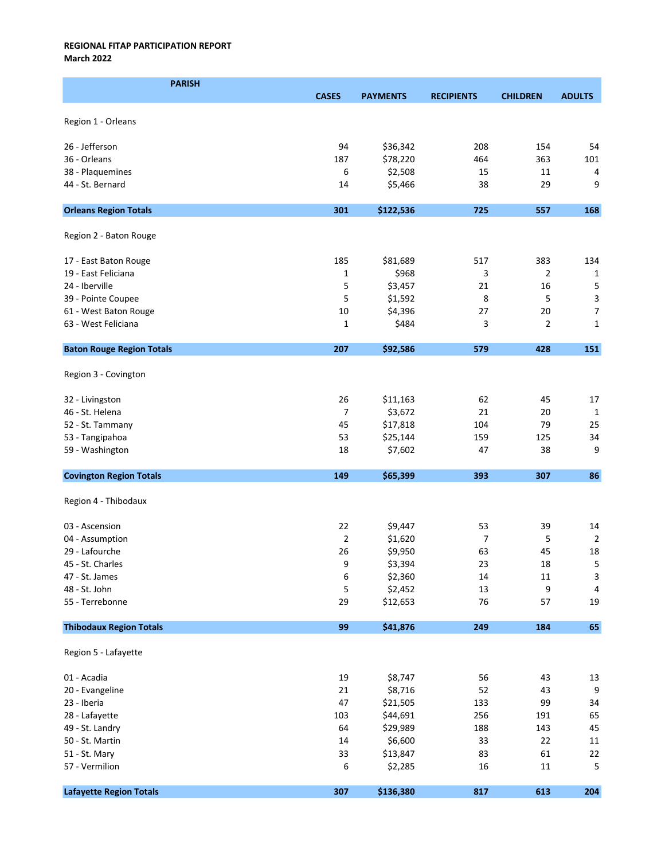March 2022

| <b>PARISH</b>                    |                |                 |                   |                 |                |
|----------------------------------|----------------|-----------------|-------------------|-----------------|----------------|
|                                  | <b>CASES</b>   | <b>PAYMENTS</b> | <b>RECIPIENTS</b> | <b>CHILDREN</b> | <b>ADULTS</b>  |
|                                  |                |                 |                   |                 |                |
| Region 1 - Orleans               |                |                 |                   |                 |                |
| 26 - Jefferson                   | 94             | \$36,342        | 208               | 154             | 54             |
| 36 - Orleans                     | 187            | \$78,220        | 464               | 363             | 101            |
| 38 - Plaquemines                 | 6              | \$2,508         | 15                | 11              | 4              |
| 44 - St. Bernard                 | 14             | \$5,466         | 38                | 29              | 9              |
|                                  |                |                 |                   |                 |                |
| <b>Orleans Region Totals</b>     | 301            | \$122,536       | 725               | 557             | 168            |
| Region 2 - Baton Rouge           |                |                 |                   |                 |                |
|                                  |                |                 |                   |                 |                |
| 17 - East Baton Rouge            | 185            | \$81,689        | 517               | 383             | 134            |
| 19 - East Feliciana              | 1              | \$968           | 3                 | $\overline{2}$  | 1              |
| 24 - Iberville                   | 5              | \$3,457         | 21                | 16              | 5              |
| 39 - Pointe Coupee               | 5              | \$1,592         | 8                 | 5               | $\mathsf 3$    |
| 61 - West Baton Rouge            | 10             | \$4,396         | 27                | 20              | $\overline{7}$ |
| 63 - West Feliciana              | $\mathbf{1}$   | \$484           | 3                 | $\overline{2}$  | $\mathbf{1}$   |
| <b>Baton Rouge Region Totals</b> | 207            | \$92,586        | 579               | 428             | 151            |
|                                  |                |                 |                   |                 |                |
| Region 3 - Covington             |                |                 |                   |                 |                |
| 32 - Livingston                  | 26             | \$11,163        | 62                | 45              | 17             |
| 46 - St. Helena                  | 7              | \$3,672         | 21                | 20              | $\mathbf{1}$   |
| 52 - St. Tammany                 | 45             | \$17,818        | 104               | 79              | 25             |
| 53 - Tangipahoa                  | 53             | \$25,144        | 159               | 125             | 34             |
| 59 - Washington                  | 18             | \$7,602         | 47                | 38              | 9              |
| <b>Covington Region Totals</b>   | 149            | \$65,399        | 393               | 307             | 86             |
|                                  |                |                 |                   |                 |                |
| Region 4 - Thibodaux             |                |                 |                   |                 |                |
| 03 - Ascension                   | 22             | \$9,447         | 53                | 39              | 14             |
| 04 - Assumption                  | $\overline{2}$ | \$1,620         | 7                 | 5               | $\overline{2}$ |
| 29 - Lafourche                   | 26             | \$9,950         | 63                | 45              | 18             |
| 45 - St. Charles                 | 9              | \$3,394         | 23                | 18              | 5              |
| 47 - St. James                   | 6              | \$2,360         | 14                | 11              | 3              |
| 48 - St. John                    | 5              | \$2,452         | 13                | 9               | 4              |
| 55 - Terrebonne                  | 29             | \$12,653        | 76                | 57              | 19             |
|                                  |                |                 |                   |                 |                |
| <b>Thibodaux Region Totals</b>   | 99             | \$41,876        | 249               | 184             | 65             |
| Region 5 - Lafayette             |                |                 |                   |                 |                |
| 01 - Acadia                      | 19             | \$8,747         | 56                | 43              | 13             |
| 20 - Evangeline                  | 21             | \$8,716         | 52                | 43              | 9              |
| 23 - Iberia                      | 47             | \$21,505        | 133               | 99              | 34             |
| 28 - Lafayette                   | 103            | \$44,691        | 256               | 191             | 65             |
| 49 - St. Landry                  | 64             | \$29,989        | 188               | 143             | 45             |
| 50 - St. Martin                  | 14             | \$6,600         | 33                | 22              | $11\,$         |
| 51 - St. Mary                    | 33             | \$13,847        | 83                | 61              | 22             |
| 57 - Vermilion                   | 6              | \$2,285         | 16                | 11              | 5              |
|                                  |                |                 |                   |                 |                |
| <b>Lafayette Region Totals</b>   | 307            | \$136,380       | 817               | 613             | 204            |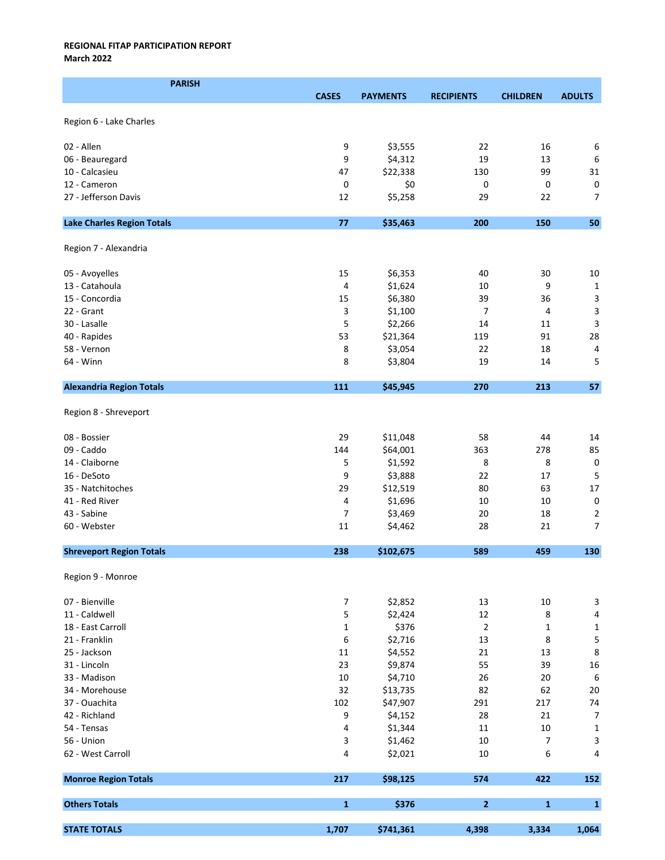March 2022

| <b>PARISH</b>                     |              |                 |                   |                 |                           |
|-----------------------------------|--------------|-----------------|-------------------|-----------------|---------------------------|
|                                   | <b>CASES</b> | <b>PAYMENTS</b> | <b>RECIPIENTS</b> | <b>CHILDREN</b> | <b>ADULTS</b>             |
| Region 6 - Lake Charles           |              |                 |                   |                 |                           |
| 02 - Allen                        | 9            | \$3,555         | 22                | 16              | 6                         |
| 06 - Beauregard                   | 9            | \$4,312         | 19                | 13              | 6                         |
| 10 - Calcasieu                    | 47           | \$22,338        | 130               | 99              | 31                        |
| 12 - Cameron                      | 0            | \$0             | 0                 | 0               | $\mathsf 0$               |
| 27 - Jefferson Davis              | 12           | \$5,258         | 29                | 22              | $\overline{7}$            |
|                                   |              |                 |                   |                 |                           |
| <b>Lake Charles Region Totals</b> | 77           | \$35,463        | 200               | 150             | 50                        |
| Region 7 - Alexandria             |              |                 |                   |                 |                           |
| 05 - Avoyelles                    | 15           | \$6,353         | 40                | 30              | 10                        |
| 13 - Catahoula                    | 4            | \$1,624         | 10                | 9               | $\mathbf 1$               |
| 15 - Concordia                    | 15           | \$6,380         | 39                | 36              | $\mathsf 3$               |
| 22 - Grant                        | 3            | \$1,100         | 7                 | 4               | $\mathsf 3$               |
| 30 - Lasalle                      | 5            | \$2,266         | 14                | 11              | 3                         |
| 40 - Rapides                      | 53           | \$21,364        | 119               | 91              | 28                        |
| 58 - Vernon                       | 8            | \$3,054         | 22                | 18              | 4                         |
| 64 - Winn                         | 8            | \$3,804         | 19                | 14              | 5                         |
| <b>Alexandria Region Totals</b>   | 111          | \$45,945        | 270               | 213             | 57                        |
| Region 8 - Shreveport             |              |                 |                   |                 |                           |
| 08 - Bossier                      | 29           | \$11,048        | 58                | 44              | 14                        |
| 09 - Caddo                        | 144          | \$64,001        | 363               | 278             | 85                        |
| 14 - Claiborne                    | 5            | \$1,592         | 8                 | 8               | $\pmb{0}$                 |
| 16 - DeSoto                       | 9            | \$3,888         | 22                | 17              | 5                         |
| 35 - Natchitoches                 | 29           | \$12,519        | 80                | 63              | 17                        |
| 41 - Red River                    | 4            | \$1,696         | 10                | 10              | $\pmb{0}$                 |
| 43 - Sabine                       | 7            | \$3,469         | 20                | 18              | $\mathbf 2$               |
| 60 - Webster                      | 11           | \$4,462         | 28                | 21              | $\overline{7}$            |
| <b>Shreveport Region Totals</b>   | 238          | \$102,675       | 589               | 459             | 130                       |
| Region 9 - Monroe                 |              |                 |                   |                 |                           |
| 07 - Bienville                    | 7            | \$2,852         | 13                | 10              | $\ensuremath{\mathsf{3}}$ |
| 11 - Caldwell                     | 5            | \$2,424         | 12                | 8               | $\pmb{4}$                 |
| 18 - East Carroll                 | $\mathbf 1$  | \$376           | $\overline{2}$    | $\mathbf{1}$    | $\mathbf 1$               |
| 21 - Franklin                     | 6            | \$2,716         | 13                | 8               | 5                         |
| 25 - Jackson                      | 11           | \$4,552         | 21                | 13              | $\bf 8$                   |
| 31 - Lincoln                      | 23           | \$9,874         | 55                | 39              | 16                        |
| 33 - Madison                      | 10           | \$4,710         | 26                | 20              | $\,6\,$                   |
| 34 - Morehouse                    | 32           | \$13,735        | 82                | 62              | 20                        |
| 37 - Ouachita                     | 102          | \$47,907        | 291               | 217             | 74                        |
| 42 - Richland                     | 9            | \$4,152         | 28                | 21              | $\boldsymbol{7}$          |
| 54 - Tensas                       | 4            | \$1,344         | 11                | 10              | $\mathbf 1$               |
| 56 - Union                        | 3            | \$1,462         | 10                | 7               | $\ensuremath{\mathsf{3}}$ |
| 62 - West Carroll                 | 4            | \$2,021         | 10                | 6               | 4                         |
| <b>Monroe Region Totals</b>       | 217          | \$98,125        | 574               | 422             | 152                       |
| <b>Others Totals</b>              | $\mathbf 1$  | \$376           | $\overline{2}$    | $\mathbf{1}$    | $\mathbf{1}$              |
| <b>STATE TOTALS</b>               | 1,707        | \$741,361       | 4,398             | 3,334           | 1,064                     |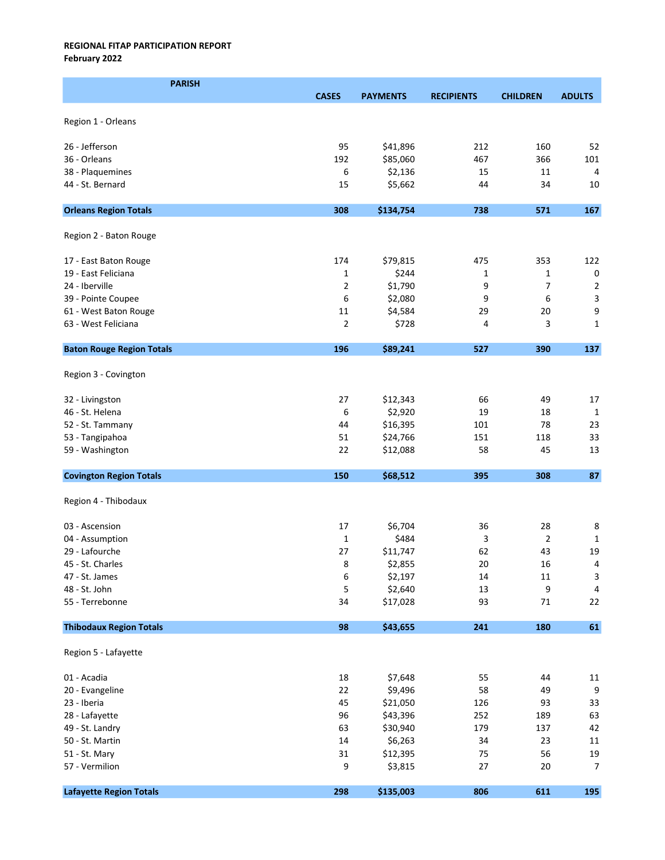# REGIONAL FITAP PARTICIPATION REPORT February 2022

| <b>PARISH</b>                    |              |                 |                   |                 |                |
|----------------------------------|--------------|-----------------|-------------------|-----------------|----------------|
|                                  | <b>CASES</b> | <b>PAYMENTS</b> | <b>RECIPIENTS</b> | <b>CHILDREN</b> | <b>ADULTS</b>  |
| Region 1 - Orleans               |              |                 |                   |                 |                |
|                                  |              |                 |                   |                 |                |
| 26 - Jefferson                   | 95           | \$41,896        | 212               | 160             | 52             |
| 36 - Orleans                     | 192          | \$85,060        | 467               | 366             | 101            |
| 38 - Plaquemines                 | 6            | \$2,136         | 15                | 11              | 4              |
| 44 - St. Bernard                 | 15           | \$5,662         | 44                | 34              | 10             |
| <b>Orleans Region Totals</b>     | 308          | \$134,754       | 738               | 571             | 167            |
|                                  |              |                 |                   |                 |                |
| Region 2 - Baton Rouge           |              |                 |                   |                 |                |
| 17 - East Baton Rouge            | 174          | \$79,815        | 475               | 353             | 122            |
| 19 - East Feliciana              | 1            | \$244           | 1                 | 1               | $\pmb{0}$      |
| 24 - Iberville                   | 2            | \$1,790         | 9                 | 7               | $\overline{2}$ |
| 39 - Pointe Coupee               | 6            | \$2,080         | 9                 | 6               | 3              |
| 61 - West Baton Rouge            | 11           | \$4,584         | 29                | 20              | 9              |
| 63 - West Feliciana              | 2            | \$728           | 4                 | 3               | $\mathbf 1$    |
| <b>Baton Rouge Region Totals</b> | 196          | \$89,241        | 527               | 390             | 137            |
|                                  |              |                 |                   |                 |                |
| Region 3 - Covington             |              |                 |                   |                 |                |
| 32 - Livingston                  | 27           | \$12,343        | 66                | 49              | 17             |
| 46 - St. Helena                  | 6            | \$2,920         | 19                | 18              | 1              |
| 52 - St. Tammany                 | 44           | \$16,395        | 101               | 78              | 23             |
| 53 - Tangipahoa                  | 51           | \$24,766        | 151               | 118             | 33             |
| 59 - Washington                  | 22           | \$12,088        | 58                | 45              | 13             |
|                                  |              |                 |                   |                 |                |
| <b>Covington Region Totals</b>   | 150          | \$68,512        | 395               | 308             | 87             |
| Region 4 - Thibodaux             |              |                 |                   |                 |                |
| 03 - Ascension                   | 17           | \$6,704         | 36                | 28              | 8              |
| 04 - Assumption                  | $\mathbf{1}$ | \$484           | 3                 | $\overline{2}$  | 1              |
| 29 - Lafourche                   | 27           | \$11,747        | 62                | 43              | 19             |
| 45 - St. Charles                 | 8            | \$2,855         | 20                | 16              | $\overline{4}$ |
| 47 - St. James                   | 6            | \$2,197         | 14                | 11              | 3              |
| 48 - St. John                    | 5            | \$2,640         | 13                | 9               | 4              |
| 55 - Terrebonne                  | 34           | \$17,028        | 93                | 71              | 22             |
| <b>Thibodaux Region Totals</b>   | 98           | \$43,655        | 241               | 180             | 61             |
| Region 5 - Lafayette             |              |                 |                   |                 |                |
|                                  |              |                 |                   |                 |                |
| 01 - Acadia                      | 18           | \$7,648         | 55                | 44              | 11             |
| 20 - Evangeline                  | 22           | \$9,496         | 58                | 49              | 9              |
| 23 - Iberia                      | 45           | \$21,050        | 126               | 93              | 33             |
| 28 - Lafayette                   | 96           | \$43,396        | 252               | 189             | 63             |
| 49 - St. Landry                  | 63           | \$30,940        | 179               | 137             | 42             |
| 50 - St. Martin                  | 14           | \$6,263         | 34                | 23              | 11             |
| 51 - St. Mary                    | 31           | \$12,395        | 75                | 56              | 19             |
| 57 - Vermilion                   | 9            | \$3,815         | 27                | 20              | $\overline{7}$ |
| <b>Lafayette Region Totals</b>   | 298          | \$135,003       | 806               | 611             | 195            |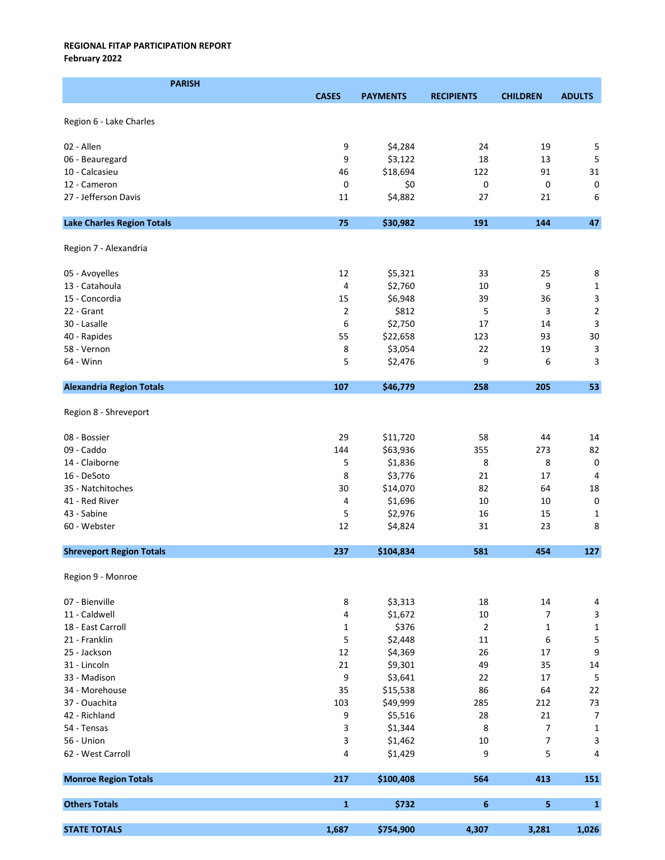February 2022

| <b>PARISH</b>                     |                |                      |                   |                 |                           |
|-----------------------------------|----------------|----------------------|-------------------|-----------------|---------------------------|
|                                   | <b>CASES</b>   | <b>PAYMENTS</b>      | <b>RECIPIENTS</b> | <b>CHILDREN</b> | <b>ADULTS</b>             |
|                                   |                |                      |                   |                 |                           |
| Region 6 - Lake Charles           |                |                      |                   |                 |                           |
| 02 - Allen                        | 9              | \$4,284              | 24                | 19              | 5                         |
| 06 - Beauregard                   | 9              | \$3,122              | 18                | 13              | 5                         |
| 10 - Calcasieu                    | 46             | \$18,694             | 122               | 91              | 31                        |
| 12 - Cameron                      | 0              | \$0                  | 0                 | 0               | $\mathsf 0$               |
| 27 - Jefferson Davis              | 11             | \$4,882              | 27                | 21              | 6                         |
|                                   |                |                      |                   |                 |                           |
| <b>Lake Charles Region Totals</b> | 75             | \$30,982             | 191               | 144             | 47                        |
| Region 7 - Alexandria             |                |                      |                   |                 |                           |
| 05 - Avoyelles                    | 12             | \$5,321              | 33                | 25              | 8                         |
| 13 - Catahoula                    | 4              | \$2,760              | 10                | 9               | $\mathbf 1$               |
| 15 - Concordia                    | 15             | \$6,948              | 39                | 36              | 3                         |
| 22 - Grant                        | $\overline{2}$ | \$812                | 5                 | 3               | $\mathbf 2$               |
| 30 - Lasalle                      | 6              | \$2,750              | 17                | 14              | 3                         |
| 40 - Rapides                      | 55             | \$22,658             | 123               | 93              | 30                        |
| 58 - Vernon                       | 8              | \$3,054              | 22                | 19              | $\ensuremath{\mathsf{3}}$ |
| 64 - Winn                         | 5              | \$2,476              | 9                 | 6               | 3                         |
| <b>Alexandria Region Totals</b>   | 107            | \$46,779             | 258               | 205             | 53                        |
| Region 8 - Shreveport             |                |                      |                   |                 |                           |
| 08 - Bossier                      | 29             |                      |                   | 44              | 14                        |
| 09 - Caddo                        | 144            | \$11,720<br>\$63,936 | 58<br>355         | 273             | 82                        |
| 14 - Claiborne                    | 5              | \$1,836              | 8                 | 8               | $\pmb{0}$                 |
| 16 - DeSoto                       | 8              | \$3,776              | 21                | 17              | $\overline{4}$            |
| 35 - Natchitoches                 | 30             | \$14,070             | 82                | 64              | 18                        |
| 41 - Red River                    | 4              | \$1,696              | 10                | 10              | $\mathbf 0$               |
| 43 - Sabine                       | 5              | \$2,976              | 16                | 15              | 1                         |
| 60 - Webster                      | 12             | \$4,824              | 31                | 23              | 8                         |
| <b>Shreveport Region Totals</b>   | 237            | \$104,834            | 581               | 454             | 127                       |
|                                   |                |                      |                   |                 |                           |
| Region 9 - Monroe                 |                |                      |                   |                 |                           |
| 07 - Bienville                    | 8              | \$3,313              | 18                | 14              | $\overline{4}$            |
| 11 - Caldwell                     | 4              | \$1,672              | 10                | 7               | $\ensuremath{\mathsf{3}}$ |
| 18 - East Carroll                 | $\mathbf{1}$   | \$376                | $\overline{2}$    | 1               | $\mathbf 1$               |
| 21 - Franklin                     | 5              | \$2,448              | 11                | 6               | $\mathsf S$               |
| 25 - Jackson                      | 12             | \$4,369              | 26                | 17              | 9                         |
| 31 - Lincoln                      | 21             | \$9,301              | 49                | 35              | $14\,$                    |
| 33 - Madison                      | 9              | \$3,641              | 22                | 17              | $\overline{5}$            |
| 34 - Morehouse                    | 35             | \$15,538             | 86                | 64              | 22                        |
| 37 - Ouachita                     | 103            | \$49,999             | 285               | 212             | 73                        |
| 42 - Richland                     | 9              | \$5,516              | 28                | 21              | $\overline{7}$            |
| 54 - Tensas                       | 3              | \$1,344              | 8                 | 7               | $\mathbf 1$               |
| 56 - Union                        | 3              | \$1,462              | 10                | 7               | $\mathsf 3$               |
| 62 - West Carroll                 | 4              | \$1,429              | 9                 | 5               | 4                         |
| <b>Monroe Region Totals</b>       | 217            | \$100,408            | 564               | 413             | 151                       |
| <b>Others Totals</b>              | $\mathbf 1$    | \$732                | $\bf 6$           | 5               | $\mathbf{1}$              |
| <b>STATE TOTALS</b>               | 1,687          | \$754,900            | 4,307             | 3,281           | 1,026                     |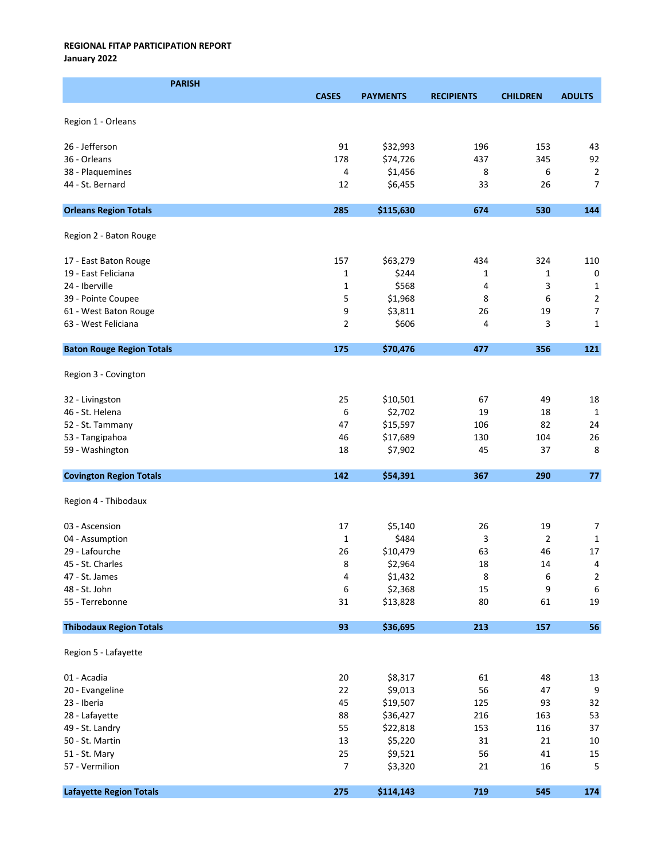January 2022

| <b>PARISH</b>                    |                |                 |                   |                 |                                  |
|----------------------------------|----------------|-----------------|-------------------|-----------------|----------------------------------|
|                                  | <b>CASES</b>   | <b>PAYMENTS</b> | <b>RECIPIENTS</b> | <b>CHILDREN</b> | <b>ADULTS</b>                    |
|                                  |                |                 |                   |                 |                                  |
| Region 1 - Orleans               |                |                 |                   |                 |                                  |
| 26 - Jefferson                   | 91             | \$32,993        | 196               | 153             | 43                               |
| 36 - Orleans                     | 178            | \$74,726        | 437               | 345             | 92                               |
| 38 - Plaquemines                 | 4              | \$1,456         | 8                 | 6               |                                  |
| 44 - St. Bernard                 | 12             |                 |                   | 26              | $\overline{2}$<br>$\overline{7}$ |
|                                  |                | \$6,455         | 33                |                 |                                  |
| <b>Orleans Region Totals</b>     | 285            | \$115,630       | 674               | 530             | 144                              |
|                                  |                |                 |                   |                 |                                  |
| Region 2 - Baton Rouge           |                |                 |                   |                 |                                  |
| 17 - East Baton Rouge            | 157            | \$63,279        | 434               | 324             | 110                              |
| 19 - East Feliciana              | $\mathbf{1}$   | \$244           | 1                 | 1               | $\pmb{0}$                        |
| 24 - Iberville                   | $\mathbf{1}$   | \$568           | 4                 | 3               | 1                                |
| 39 - Pointe Coupee               | 5              | \$1,968         | 8                 | 6               | $\overline{2}$                   |
| 61 - West Baton Rouge            | 9              | \$3,811         | 26                | 19              | 7                                |
| 63 - West Feliciana              | $\overline{2}$ | \$606           | 4                 | 3               | 1                                |
| <b>Baton Rouge Region Totals</b> | 175            | \$70,476        | 477               | 356             | 121                              |
|                                  |                |                 |                   |                 |                                  |
| Region 3 - Covington             |                |                 |                   |                 |                                  |
| 32 - Livingston                  | 25             | \$10,501        | 67                | 49              | 18                               |
| 46 - St. Helena                  | 6              | \$2,702         | 19                | 18              | $\mathbf{1}$                     |
| 52 - St. Tammany                 | 47             | \$15,597        | 106               | 82              | 24                               |
| 53 - Tangipahoa                  | 46             | \$17,689        | 130               | 104             | 26                               |
| 59 - Washington                  | 18             | \$7,902         | 45                | 37              | 8                                |
| <b>Covington Region Totals</b>   | 142            | \$54,391        | 367               | 290             | $77\,$                           |
|                                  |                |                 |                   |                 |                                  |
| Region 4 - Thibodaux             |                |                 |                   |                 |                                  |
| 03 - Ascension                   | 17             | \$5,140         | 26                | 19              | $\overline{7}$                   |
| 04 - Assumption                  | $\mathbf{1}$   | \$484           | 3                 | $\overline{2}$  | 1                                |
| 29 - Lafourche                   | 26             | \$10,479        | 63                | 46              | 17                               |
| 45 - St. Charles                 | 8              | \$2,964         | 18                | 14              | $\overline{4}$                   |
| 47 - St. James                   | 4              | \$1,432         | 8                 | 6               | $\overline{\mathbf{c}}$          |
| 48 - St. John                    | 6              | \$2,368         | 15                | 9               | $\,6\,$                          |
| 55 - Terrebonne                  | 31             | \$13,828        | 80                | 61              | 19                               |
| <b>Thibodaux Region Totals</b>   | 93             | \$36,695        | 213               | 157             | 56                               |
|                                  |                |                 |                   |                 |                                  |
| Region 5 - Lafayette             |                |                 |                   |                 |                                  |
| 01 - Acadia                      | $20\,$         | \$8,317         | 61                | 48              | 13                               |
| 20 - Evangeline                  | 22             | \$9,013         | 56                | 47              | $\boldsymbol{9}$                 |
| 23 - Iberia                      | 45             | \$19,507        | 125               | 93              | 32                               |
| 28 - Lafayette                   | 88             | \$36,427        | 216               | 163             | 53                               |
| 49 - St. Landry                  | 55             | \$22,818        | 153               | 116             | 37                               |
| 50 - St. Martin                  | 13             | \$5,220         | 31                | 21              | $10\,$                           |
| 51 - St. Mary                    | 25             | \$9,521         | 56                | 41              | 15                               |
| 57 - Vermilion                   | 7              | \$3,320         | 21                | 16              | 5                                |
|                                  |                |                 |                   |                 |                                  |
| <b>Lafayette Region Totals</b>   | 275            | \$114,143       | 719               | 545             | 174                              |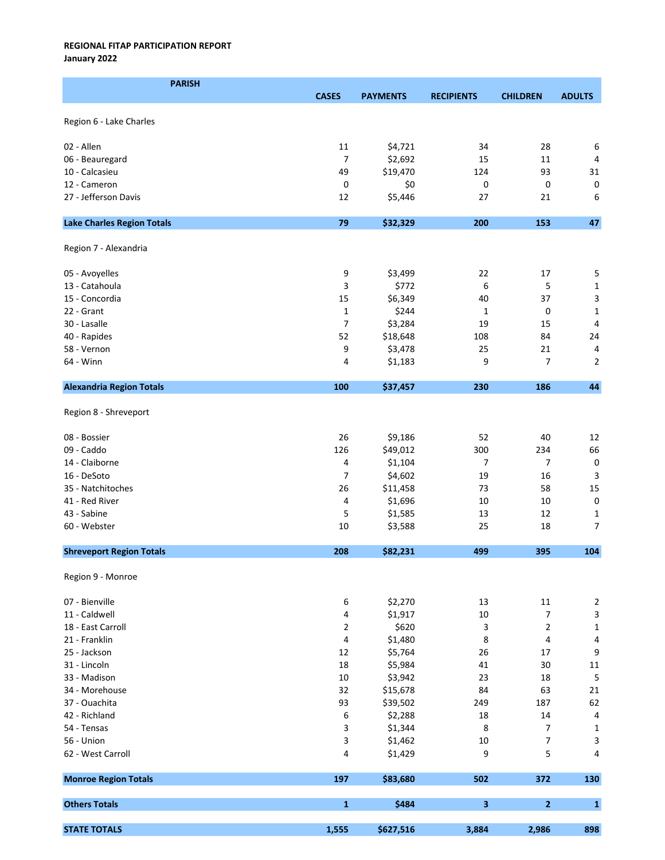January 2022

| <b>PARISH</b>                     |                |                    |                   |                 |                         |
|-----------------------------------|----------------|--------------------|-------------------|-----------------|-------------------------|
|                                   | <b>CASES</b>   | <b>PAYMENTS</b>    | <b>RECIPIENTS</b> | <b>CHILDREN</b> | <b>ADULTS</b>           |
|                                   |                |                    |                   |                 |                         |
| Region 6 - Lake Charles           |                |                    |                   |                 |                         |
| 02 - Allen                        | 11             | \$4,721            | 34                | 28              | 6                       |
| 06 - Beauregard                   | $\overline{7}$ | \$2,692            | 15                | 11              | 4                       |
| 10 - Calcasieu                    | 49             | \$19,470           | 124               | 93              | 31                      |
| 12 - Cameron                      | 0              | \$0                | 0                 | 0               | $\pmb{0}$               |
| 27 - Jefferson Davis              | 12             | \$5,446            | 27                | 21              | 6                       |
|                                   |                |                    |                   |                 |                         |
| <b>Lake Charles Region Totals</b> | 79             | \$32,329           | 200               | 153             | 47                      |
| Region 7 - Alexandria             |                |                    |                   |                 |                         |
| 05 - Avoyelles                    | 9              | \$3,499            | 22                | 17              | 5                       |
| 13 - Catahoula                    | 3              | \$772              | 6                 | 5               | $\mathbf 1$             |
| 15 - Concordia                    | 15             | \$6,349            | 40                | 37              | $\overline{\mathbf{3}}$ |
| 22 - Grant                        | $\mathbf{1}$   | \$244              | 1                 | 0               | $\mathbf{1}$            |
| 30 - Lasalle                      | $\overline{7}$ | \$3,284            | 19                | 15              | 4                       |
| 40 - Rapides                      | 52             | \$18,648           | 108               | 84              | 24                      |
| 58 - Vernon                       | 9              | \$3,478            | 25                | 21              | 4                       |
| 64 - Winn                         | 4              | \$1,183            | 9                 | 7               | $\mathbf 2$             |
|                                   |                |                    |                   |                 |                         |
| <b>Alexandria Region Totals</b>   | 100            | \$37,457           | 230               | 186             | 44                      |
| Region 8 - Shreveport             |                |                    |                   |                 |                         |
| 08 - Bossier                      | 26             | \$9,186            | 52                | 40              | 12                      |
| 09 - Caddo                        | 126            | \$49,012           | 300               | 234             | 66                      |
| 14 - Claiborne                    | 4              | \$1,104            | 7                 | 7               | $\pmb{0}$               |
| 16 - DeSoto                       | 7              | \$4,602            | 19                | 16              | 3                       |
| 35 - Natchitoches                 | 26             | \$11,458           | 73                | 58              | 15                      |
| 41 - Red River                    | 4              | \$1,696            | 10                | 10              | $\mathbf 0$             |
| 43 - Sabine                       |                |                    |                   | 12              |                         |
| 60 - Webster                      | 5<br>10        | \$1,585<br>\$3,588 | 13<br>25          | 18              | 1<br>$\overline{7}$     |
|                                   |                |                    |                   |                 |                         |
| <b>Shreveport Region Totals</b>   | 208            | \$82,231           | 499               | 395             | 104                     |
| Region 9 - Monroe                 |                |                    |                   |                 |                         |
| 07 - Bienville                    | 6              | \$2,270            | 13                | 11              | $\mathbf 2$             |
| 11 - Caldwell                     | 4              | \$1,917            | 10                | 7               | $\mathsf 3$             |
| 18 - East Carroll                 | 2              | \$620              | 3                 | 2               | $\mathbf 1$             |
| 21 - Franklin                     | 4              | \$1,480            | 8                 | 4               | $\overline{\mathbf{4}}$ |
| 25 - Jackson                      | 12             | \$5,764            | 26                | 17              | $\boldsymbol{9}$        |
| 31 - Lincoln                      | 18             | \$5,984            | 41                | 30              | $11\,$                  |
| 33 - Madison                      | 10             | \$3,942            | 23                | 18              | $\sqrt{5}$              |
| 34 - Morehouse                    | 32             | \$15,678           | 84                | 63              | 21                      |
| 37 - Ouachita                     | 93             | \$39,502           | 249               | 187             | 62                      |
|                                   |                |                    |                   |                 |                         |
| 42 - Richland<br>54 - Tensas      | 6              | \$2,288            | 18                | 14              | $\sqrt{4}$              |
|                                   | 3              | \$1,344            | 8                 | 7               | $\mathbf 1$             |
| 56 - Union                        | 3              | \$1,462            | 10                | 7               | $\mathsf 3$             |
| 62 - West Carroll                 | 4              | \$1,429            | 9                 | 5               | 4                       |
| <b>Monroe Region Totals</b>       | 197            | \$83,680           | 502               | 372             | 130                     |
| <b>Others Totals</b>              | $\mathbf{1}$   | \$484              | 3                 | 2               | $\mathbf{1}$            |
| <b>STATE TOTALS</b>               | 1,555          | \$627,516          | 3,884             | 2,986           | 898                     |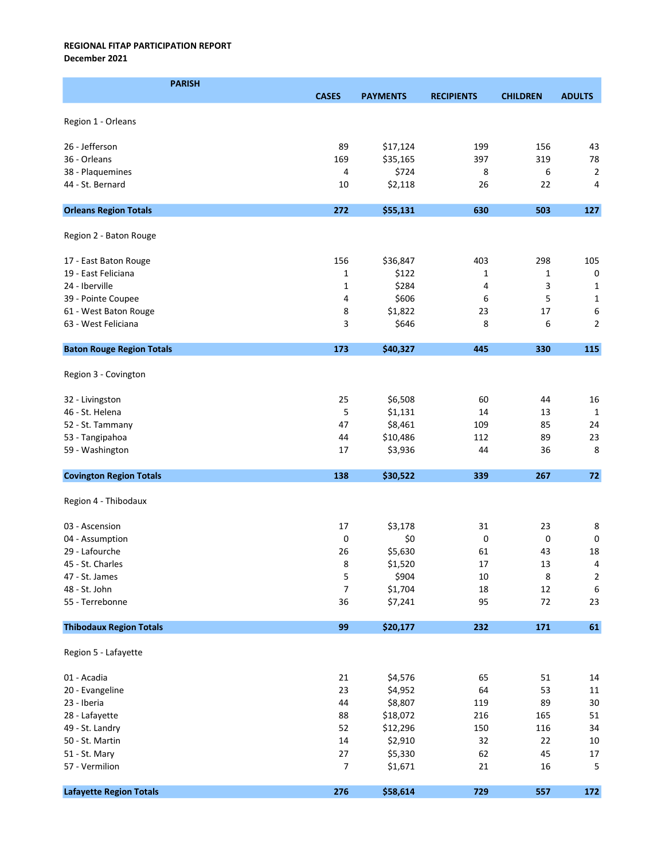December 2021

| <b>PARISH</b>                    |              |                 |                   |                 |                         |
|----------------------------------|--------------|-----------------|-------------------|-----------------|-------------------------|
|                                  | <b>CASES</b> | <b>PAYMENTS</b> | <b>RECIPIENTS</b> | <b>CHILDREN</b> | <b>ADULTS</b>           |
|                                  |              |                 |                   |                 |                         |
| Region 1 - Orleans               |              |                 |                   |                 |                         |
| 26 - Jefferson                   | 89           | \$17,124        | 199               | 156             | 43                      |
| 36 - Orleans                     | 169          | \$35,165        | 397               | 319             | 78                      |
| 38 - Plaquemines                 | 4            | \$724           | 8                 | 6               | $\overline{2}$          |
| 44 - St. Bernard                 | 10           | \$2,118         | 26                | 22              | 4                       |
|                                  |              |                 |                   |                 |                         |
| <b>Orleans Region Totals</b>     | 272          | \$55,131        | 630               | 503             | 127                     |
| Region 2 - Baton Rouge           |              |                 |                   |                 |                         |
| 17 - East Baton Rouge            | 156          | \$36,847        | 403               | 298             | 105                     |
| 19 - East Feliciana              | $\mathbf{1}$ | \$122           | 1                 | 1               | $\pmb{0}$               |
| 24 - Iberville                   | $\mathbf{1}$ | \$284           | 4                 | 3               | 1                       |
| 39 - Pointe Coupee               | 4            | \$606           | 6                 | 5               | $\mathbf{1}$            |
| 61 - West Baton Rouge            | 8            | \$1,822         | 23                | 17              | 6                       |
| 63 - West Feliciana              | 3            | \$646           | 8                 | 6               | 2                       |
| <b>Baton Rouge Region Totals</b> | 173          | \$40,327        | 445               | 330             | 115                     |
|                                  |              |                 |                   |                 |                         |
| Region 3 - Covington             |              |                 |                   |                 |                         |
| 32 - Livingston                  | 25           | \$6,508         | 60                | 44              | 16                      |
| 46 - St. Helena                  | 5            | \$1,131         | 14                | 13              | $\mathbf{1}$            |
| 52 - St. Tammany                 | 47           | \$8,461         | 109               | 85              | 24                      |
| 53 - Tangipahoa                  | 44           | \$10,486        | 112               | 89              | 23                      |
| 59 - Washington                  | 17           | \$3,936         | 44                | 36              | 8                       |
| <b>Covington Region Totals</b>   | 138          | \$30,522        | 339               | 267             | 72                      |
| Region 4 - Thibodaux             |              |                 |                   |                 |                         |
| 03 - Ascension                   | 17           | \$3,178         | 31                | 23              | $\,8\,$                 |
| 04 - Assumption                  | 0            | \$0             | 0                 | 0               | $\pmb{0}$               |
| 29 - Lafourche                   | 26           | \$5,630         | 61                | 43              | 18                      |
| 45 - St. Charles                 | 8            | \$1,520         | $17\,$            | 13              | $\overline{4}$          |
| 47 - St. James                   | 5            | \$904           | 10                | 8               | $\overline{\mathbf{c}}$ |
| 48 - St. John                    | 7            | \$1,704         | 18                | 12              | $\boldsymbol{6}$        |
| 55 - Terrebonne                  | 36           | \$7,241         | 95                | 72              | 23                      |
| <b>Thibodaux Region Totals</b>   | 99           | \$20,177        | 232               | 171             | $\bf 61$                |
| Region 5 - Lafayette             |              |                 |                   |                 |                         |
| 01 - Acadia                      | 21           | \$4,576         | 65                | 51              | 14                      |
| 20 - Evangeline                  | 23           | \$4,952         | 64                | 53              | $11\,$                  |
| 23 - Iberia                      | 44           | \$8,807         | 119               | 89              | $30\,$                  |
| 28 - Lafayette                   | 88           | \$18,072        | 216               | 165             | 51                      |
| 49 - St. Landry                  | 52           | \$12,296        | 150               | 116             | 34                      |
| 50 - St. Martin                  | 14           | \$2,910         | 32                | 22              | $10\,$                  |
| 51 - St. Mary                    | 27           | \$5,330         | 62                | 45              | 17                      |
| 57 - Vermilion                   | 7            | \$1,671         | 21                | 16              | 5                       |
| <b>Lafayette Region Totals</b>   | 276          | \$58,614        | 729               | 557             | 172                     |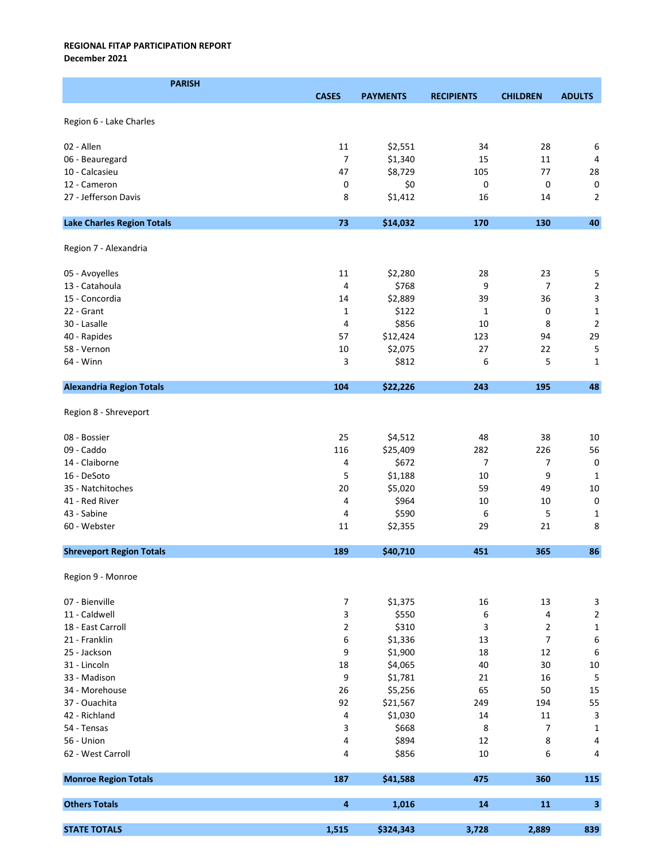December 2021

| <b>PARISH</b>                     |                  |                 |                   |                 |                           |
|-----------------------------------|------------------|-----------------|-------------------|-----------------|---------------------------|
|                                   | <b>CASES</b>     | <b>PAYMENTS</b> | <b>RECIPIENTS</b> | <b>CHILDREN</b> | <b>ADULTS</b>             |
|                                   |                  |                 |                   |                 |                           |
| Region 6 - Lake Charles           |                  |                 |                   |                 |                           |
| 02 - Allen                        | 11               | \$2,551         | 34                | 28              | 6                         |
| 06 - Beauregard                   | 7                | \$1,340         | 15                | 11              | 4                         |
| 10 - Calcasieu                    | 47               | \$8,729         | 105               | 77              | 28                        |
| 12 - Cameron                      | 0                | \$0             | 0                 | 0               | $\pmb{0}$                 |
| 27 - Jefferson Davis              | 8                |                 |                   |                 | $\overline{2}$            |
|                                   |                  | \$1,412         | 16                | 14              |                           |
| <b>Lake Charles Region Totals</b> | 73               | \$14,032        | 170               | 130             | 40                        |
| Region 7 - Alexandria             |                  |                 |                   |                 |                           |
| 05 - Avoyelles                    | 11               | \$2,280         | 28                | 23              | 5                         |
| 13 - Catahoula                    | 4                | \$768           | 9                 | $\overline{7}$  | $\mathbf 2$               |
| 15 - Concordia                    | 14               | \$2,889         | 39                | 36              | $\overline{\mathbf{3}}$   |
| 22 - Grant                        | 1                | \$122           | 1                 | 0               | $\mathbf{1}$              |
| 30 - Lasalle                      | 4                | \$856           | 10                | 8               | $\overline{2}$            |
| 40 - Rapides                      | 57               | \$12,424        | 123               | 94              | 29                        |
| 58 - Vernon                       | $10\,$           | \$2,075         | 27                | 22              | 5                         |
|                                   |                  |                 |                   |                 |                           |
| 64 - Winn                         | 3                | \$812           | 6                 | 5               | $\mathbf{1}$              |
| <b>Alexandria Region Totals</b>   | 104              | \$22,226        | 243               | 195             | 48                        |
| Region 8 - Shreveport             |                  |                 |                   |                 |                           |
| 08 - Bossier                      | 25               | \$4,512         | 48                | 38              | 10                        |
| 09 - Caddo                        | 116              | \$25,409        | 282               | 226             | 56                        |
| 14 - Claiborne                    | 4                | \$672           | 7                 | 7               | $\pmb{0}$                 |
| 16 - DeSoto                       | 5                | \$1,188         | 10                | 9               | 1                         |
| 35 - Natchitoches                 | 20               | \$5,020         | 59                | 49              | 10                        |
| 41 - Red River                    | 4                | \$964           | 10                | 10              | $\pmb{0}$                 |
| 43 - Sabine                       | 4                | \$590           | 6                 | 5               | $\mathbf{1}$              |
| 60 - Webster                      | 11               | \$2,355         | 29                | 21              | 8                         |
| <b>Shreveport Region Totals</b>   | 189              | \$40,710        | 451               | 365             | 86                        |
|                                   |                  |                 |                   |                 |                           |
| Region 9 - Monroe                 |                  |                 |                   |                 |                           |
| 07 - Bienville                    | $\boldsymbol{7}$ | \$1,375         | 16                | 13              | $\ensuremath{\mathsf{3}}$ |
| 11 - Caldwell                     | 3                | \$550           | 6                 | 4               | $\mathbf 2$               |
| 18 - East Carroll                 | $\overline{2}$   | \$310           | 3                 | $\overline{2}$  | $\mathbf 1$               |
| 21 - Franklin                     | 6                | \$1,336         | 13                | $\overline{7}$  | $\boldsymbol{6}$          |
| 25 - Jackson                      | 9                | \$1,900         | 18                | 12              | $\boldsymbol{6}$          |
| 31 - Lincoln                      | 18               | \$4,065         | 40                | 30              | $10\,$                    |
| 33 - Madison                      | 9                | \$1,781         | 21                | 16              | $\sqrt{5}$                |
| 34 - Morehouse                    | 26               | \$5,256         | 65                | 50              | 15                        |
| 37 - Ouachita                     | 92               | \$21,567        | 249               | 194             | 55                        |
| 42 - Richland                     | 4                | \$1,030         | 14                | 11              | $\ensuremath{\mathsf{3}}$ |
| 54 - Tensas                       | 3                | \$668           | 8                 | 7               | $\mathbf 1$               |
|                                   |                  |                 |                   |                 |                           |
| 56 - Union                        | 4                | \$894           | 12                | 8               | 4                         |
| 62 - West Carroll                 | 4                | \$856           | 10                | 6               | 4                         |
| <b>Monroe Region Totals</b>       | 187              | \$41,588        | 475               | 360             | 115                       |
| <b>Others Totals</b>              | 4                | 1,016           | 14                | 11              | $\overline{\mathbf{3}}$   |
| <b>STATE TOTALS</b>               | 1,515            | \$324,343       | 3,728             | 2,889           | 839                       |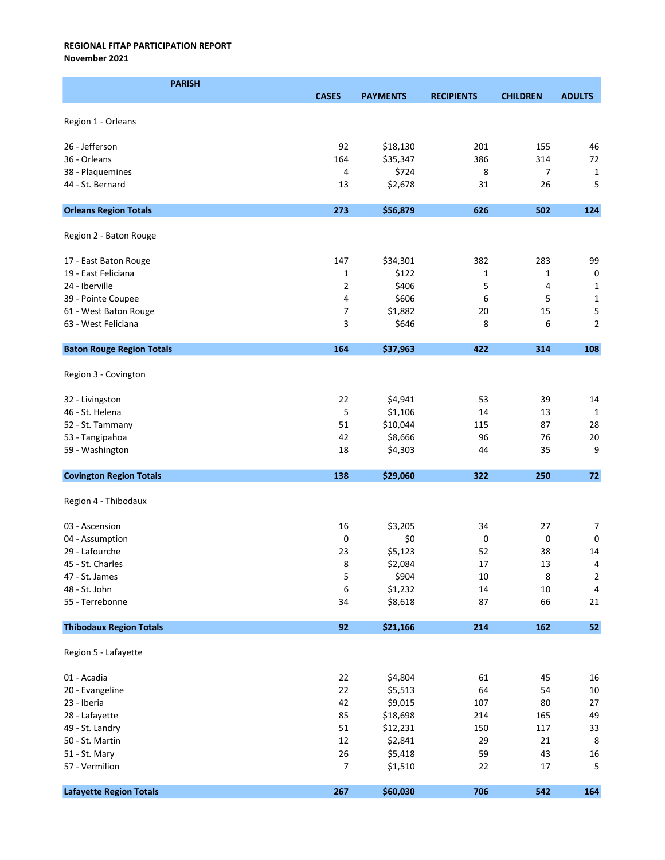November 2021

| <b>PARISH</b>                    |              |                 |                   |                 |                |
|----------------------------------|--------------|-----------------|-------------------|-----------------|----------------|
|                                  | <b>CASES</b> | <b>PAYMENTS</b> | <b>RECIPIENTS</b> | <b>CHILDREN</b> | <b>ADULTS</b>  |
|                                  |              |                 |                   |                 |                |
| Region 1 - Orleans               |              |                 |                   |                 |                |
| 26 - Jefferson                   | 92           | \$18,130        | 201               | 155             | 46             |
| 36 - Orleans                     | 164          | \$35,347        | 386               | 314             | 72             |
| 38 - Plaquemines                 | 4            | \$724           | 8                 | 7               | $\mathbf{1}$   |
| 44 - St. Bernard                 | 13           | \$2,678         | 31                | 26              | 5              |
|                                  |              |                 |                   |                 |                |
| <b>Orleans Region Totals</b>     | 273          | \$56,879        | 626               | 502             | 124            |
|                                  |              |                 |                   |                 |                |
| Region 2 - Baton Rouge           |              |                 |                   |                 |                |
| 17 - East Baton Rouge            | 147          | \$34,301        | 382               | 283             | 99             |
| 19 - East Feliciana              | 1            | \$122           | 1                 | $\mathbf{1}$    | $\mathsf 0$    |
| 24 - Iberville                   | 2            | \$406           | 5                 | 4               | $\mathbf{1}$   |
| 39 - Pointe Coupee               | 4            | \$606           | 6                 | 5               | $\mathbf 1$    |
| 61 - West Baton Rouge            | 7            | \$1,882         | 20                | 15              | 5              |
| 63 - West Feliciana              | 3            | \$646           | 8                 | 6               | $\overline{2}$ |
|                                  |              |                 |                   |                 |                |
| <b>Baton Rouge Region Totals</b> | 164          | \$37,963        | 422               | 314             | 108            |
|                                  |              |                 |                   |                 |                |
| Region 3 - Covington             |              |                 |                   |                 |                |
| 32 - Livingston                  | 22           | \$4,941         | 53                | 39              | 14             |
| 46 - St. Helena                  | 5            | \$1,106         | 14                | 13              | 1              |
| 52 - St. Tammany                 | 51           | \$10,044        | 115               | 87              | 28             |
| 53 - Tangipahoa                  | 42           | \$8,666         | 96                | 76              | $20\,$         |
| 59 - Washington                  | 18           | \$4,303         | 44                | 35              | 9              |
|                                  |              |                 |                   |                 |                |
| <b>Covington Region Totals</b>   | 138          | \$29,060        | 322               | 250             | 72             |
|                                  |              |                 |                   |                 |                |
| Region 4 - Thibodaux             |              |                 |                   |                 |                |
| 03 - Ascension                   | 16           | \$3,205         | 34                | 27              | $\overline{7}$ |
| 04 - Assumption                  | 0            | \$0             | 0                 | 0               | 0              |
| 29 - Lafourche                   | 23           | \$5,123         | 52                | 38              | 14             |
| 45 - St. Charles                 | 8            | \$2,084         | $17\,$            | 13              | $\overline{4}$ |
| 47 - St. James                   | 5            | \$904           | 10                | 8               | $\overline{c}$ |
| 48 - St. John                    | 6            | \$1,232         | $14\,$            | $10\,$          | $\overline{4}$ |
| 55 - Terrebonne                  | 34           | \$8,618         | 87                | 66              | 21             |
|                                  |              |                 |                   |                 |                |
| <b>Thibodaux Region Totals</b>   | 92           | \$21,166        | 214               | 162             | 52             |
|                                  |              |                 |                   |                 |                |
| Region 5 - Lafayette             |              |                 |                   |                 |                |
| 01 - Acadia                      | 22           | \$4,804         | 61                | 45              | 16             |
| 20 - Evangeline                  | 22           | \$5,513         | 64                | 54              | $10\,$         |
| 23 - Iberia                      | 42           | \$9,015         | 107               | 80              | 27             |
| 28 - Lafayette                   | 85           | \$18,698        | 214               | 165             | 49             |
| 49 - St. Landry                  | 51           | \$12,231        | 150               | 117             | 33             |
| 50 - St. Martin                  | 12           | \$2,841         | 29                | 21              | $\,8\,$        |
| 51 - St. Mary                    | 26           | \$5,418         | 59                | 43              | 16             |
| 57 - Vermilion                   | 7            | \$1,510         | 22                | 17              | 5              |
|                                  |              |                 |                   |                 |                |
| <b>Lafayette Region Totals</b>   | 267          | \$60,030        | 706               | 542             | 164            |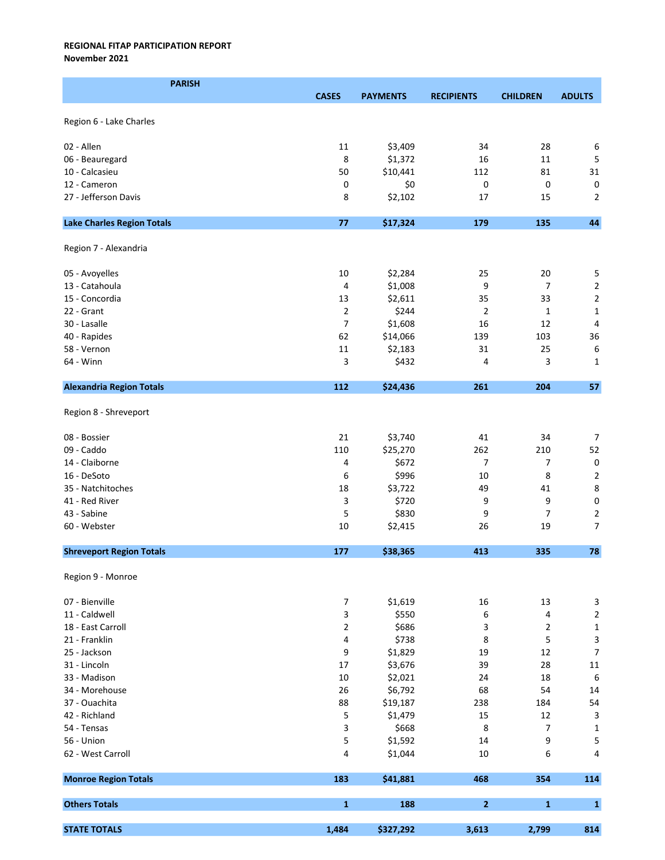November 2021

| <b>PARISH</b>                     |                |                    |                   |                 |                           |
|-----------------------------------|----------------|--------------------|-------------------|-----------------|---------------------------|
|                                   | <b>CASES</b>   | <b>PAYMENTS</b>    | <b>RECIPIENTS</b> | <b>CHILDREN</b> | <b>ADULTS</b>             |
|                                   |                |                    |                   |                 |                           |
| Region 6 - Lake Charles           |                |                    |                   |                 |                           |
| 02 - Allen                        |                |                    |                   |                 |                           |
|                                   | 11             | \$3,409<br>\$1,372 | 34<br>16          | 28<br>11        | 6                         |
| 06 - Beauregard                   | 8              |                    |                   |                 | 5                         |
| 10 - Calcasieu                    | 50             | \$10,441           | 112               | 81              | 31                        |
| 12 - Cameron                      | 0              | \$0                | 0                 | 0               | 0                         |
| 27 - Jefferson Davis              | 8              | \$2,102            | 17                | 15              | $\overline{2}$            |
| <b>Lake Charles Region Totals</b> | 77             | \$17,324           | 179               | 135             | 44                        |
| Region 7 - Alexandria             |                |                    |                   |                 |                           |
| 05 - Avoyelles                    | 10             | \$2,284            | 25                | 20              | 5                         |
| 13 - Catahoula                    | 4              | \$1,008            | 9                 | $\overline{7}$  | $\mathbf 2$               |
| 15 - Concordia                    | 13             | \$2,611            | 35                | 33              | $\mathbf 2$               |
| 22 - Grant                        | $\overline{2}$ | \$244              | $\overline{2}$    | 1               | $\mathbf 1$               |
| 30 - Lasalle                      | $\overline{7}$ | \$1,608            | 16                | 12              | 4                         |
| 40 - Rapides                      | 62             | \$14,066           | 139               | 103             | 36                        |
|                                   |                |                    |                   |                 |                           |
| 58 - Vernon                       | 11             | \$2,183            | 31                | 25              | 6                         |
| 64 - Winn                         | 3              | \$432              | 4                 | 3               | $\mathbf{1}$              |
| <b>Alexandria Region Totals</b>   | 112            | \$24,436           | 261               | 204             | 57                        |
| Region 8 - Shreveport             |                |                    |                   |                 |                           |
| 08 - Bossier                      | 21             | \$3,740            | 41                | 34              | $\overline{7}$            |
| 09 - Caddo                        | 110            | \$25,270           | 262               | 210             | 52                        |
| 14 - Claiborne                    | 4              | \$672              | 7                 | 7               | $\pmb{0}$                 |
| 16 - DeSoto                       | 6              | \$996              | 10                | 8               | $\overline{2}$            |
| 35 - Natchitoches                 | 18             | \$3,722            | 49                | 41              | 8                         |
| 41 - Red River                    | 3              | \$720              | 9                 | 9               | 0                         |
| 43 - Sabine                       | 5              | \$830              | 9                 | 7               | $\mathbf 2$               |
| 60 - Webster                      | 10             | \$2,415            | 26                | 19              | $\overline{7}$            |
|                                   |                |                    |                   |                 |                           |
| <b>Shreveport Region Totals</b>   | 177            | \$38,365           | 413               | 335             | 78                        |
| Region 9 - Monroe                 |                |                    |                   |                 |                           |
| 07 - Bienville                    | 7              | \$1,619            | 16                | 13              | $\ensuremath{\mathsf{3}}$ |
| 11 - Caldwell                     | 3              | \$550              | 6                 | 4               | $\overline{c}$            |
| 18 - East Carroll                 | $\overline{2}$ | \$686              | 3                 | $\overline{2}$  | $\mathbf 1$               |
| 21 - Franklin                     | 4              | \$738              | 8                 | 5               | $\ensuremath{\mathsf{3}}$ |
| 25 - Jackson                      | 9              | \$1,829            | 19                | 12              | $\boldsymbol{7}$          |
| 31 - Lincoln                      | 17             | \$3,676            | 39                | 28              | $11\,$                    |
| 33 - Madison                      | 10             | \$2,021            | 24                | 18              | $\boldsymbol{6}$          |
| 34 - Morehouse                    | 26             | \$6,792            | 68                | 54              | 14                        |
| 37 - Ouachita                     | 88             | \$19,187           | 238               | 184             | 54                        |
| 42 - Richland                     | 5              | \$1,479            | 15                | 12              | $\ensuremath{\mathsf{3}}$ |
|                                   |                |                    |                   |                 |                           |
| 54 - Tensas                       | 3              | \$668              | 8                 | 7               | $\mathbf 1$               |
| 56 - Union                        | 5              | \$1,592            | 14                | 9               | 5                         |
| 62 - West Carroll                 | 4              | \$1,044            | 10                | 6               | $\overline{\mathbf{4}}$   |
| <b>Monroe Region Totals</b>       | 183            | \$41,881           | 468               | 354             | 114                       |
| <b>Others Totals</b>              | $\mathbf{1}$   | 188                | $\overline{2}$    | $\mathbf{1}$    | $\mathbf{1}$              |
| <b>STATE TOTALS</b>               | 1,484          | \$327,292          | 3,613             | 2,799           | 814                       |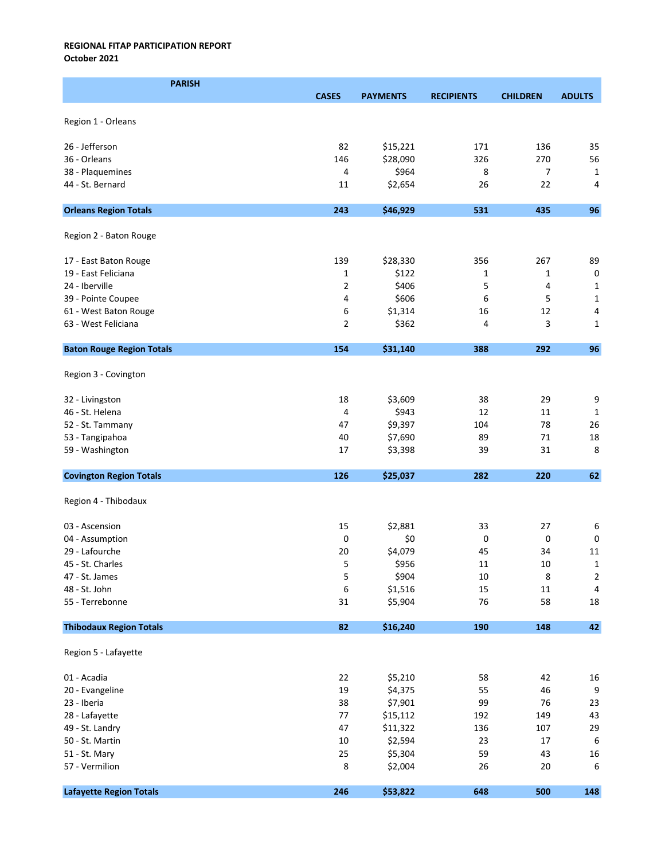October 2021

| <b>PARISH</b>                    |                |                 |                   |                 |                  |
|----------------------------------|----------------|-----------------|-------------------|-----------------|------------------|
|                                  | <b>CASES</b>   | <b>PAYMENTS</b> | <b>RECIPIENTS</b> | <b>CHILDREN</b> | <b>ADULTS</b>    |
|                                  |                |                 |                   |                 |                  |
| Region 1 - Orleans               |                |                 |                   |                 |                  |
| 26 - Jefferson                   | 82             | \$15,221        | 171               | 136             | 35               |
| 36 - Orleans                     | 146            | \$28,090        | 326               | 270             | 56               |
| 38 - Plaquemines                 | 4              | \$964           | 8                 | 7               | 1                |
| 44 - St. Bernard                 | 11             | \$2,654         | 26                | 22              | 4                |
|                                  |                |                 |                   |                 |                  |
| <b>Orleans Region Totals</b>     | 243            | \$46,929        | 531               | 435             | 96               |
| Region 2 - Baton Rouge           |                |                 |                   |                 |                  |
| 17 - East Baton Rouge            | 139            | \$28,330        | 356               | 267             | 89               |
| 19 - East Feliciana              | $\mathbf{1}$   | \$122           | 1                 | 1               | $\pmb{0}$        |
| 24 - Iberville                   | $\overline{2}$ | \$406           | 5                 | 4               | 1                |
| 39 - Pointe Coupee               | 4              | \$606           | 6                 | 5               | $\mathbf{1}$     |
| 61 - West Baton Rouge            | 6              | \$1,314         | 16                | 12              | 4                |
| 63 - West Feliciana              | $\overline{2}$ | \$362           | 4                 | 3               | $\mathbf{1}$     |
| <b>Baton Rouge Region Totals</b> | 154            | \$31,140        | 388               | 292             | 96               |
|                                  |                |                 |                   |                 |                  |
| Region 3 - Covington             |                |                 |                   |                 |                  |
| 32 - Livingston                  | 18             | \$3,609         | 38                | 29              | $\boldsymbol{9}$ |
| 46 - St. Helena                  | 4              | \$943           | 12                | 11              | 1                |
| 52 - St. Tammany                 | 47             | \$9,397         | 104               | 78              | 26               |
| 53 - Tangipahoa                  | 40             | \$7,690         | 89                | 71              | 18               |
| 59 - Washington                  | 17             | \$3,398         | 39                | 31              | 8                |
| <b>Covington Region Totals</b>   | 126            | \$25,037        | 282               | 220             | 62               |
| Region 4 - Thibodaux             |                |                 |                   |                 |                  |
| 03 - Ascension                   | 15             | \$2,881         | 33                | 27              | 6                |
| 04 - Assumption                  | 0              | \$0             | 0                 | 0               | $\pmb{0}$        |
| 29 - Lafourche                   | 20             | \$4,079         | 45                | 34              | 11               |
| 45 - St. Charles                 | 5              | \$956           | $11\,$            | $10\,$          | $\mathbf 1$      |
| 47 - St. James                   | 5              | \$904           | 10                | 8               | $\overline{c}$   |
| 48 - St. John                    | 6              | \$1,516         | 15                | 11              | $\sqrt{4}$       |
| 55 - Terrebonne                  | 31             | \$5,904         | 76                | 58              | 18               |
| <b>Thibodaux Region Totals</b>   | 82             | \$16,240        | 190               | 148             | 42               |
| Region 5 - Lafayette             |                |                 |                   |                 |                  |
| 01 - Acadia                      | 22             | \$5,210         | 58                | 42              | 16               |
| 20 - Evangeline                  | 19             | \$4,375         | 55                | 46              | $\boldsymbol{9}$ |
| 23 - Iberia                      | 38             | \$7,901         | 99                | 76              | 23               |
| 28 - Lafayette                   | 77             | \$15,112        | 192               | 149             | 43               |
| 49 - St. Landry                  | 47             | \$11,322        | 136               | 107             | 29               |
| 50 - St. Martin                  | $10\,$         | \$2,594         | 23                | 17              | $\boldsymbol{6}$ |
| 51 - St. Mary                    | 25             | \$5,304         | 59                | 43              | 16               |
| 57 - Vermilion                   | 8              | \$2,004         | 26                | 20              | 6                |
| <b>Lafayette Region Totals</b>   | 246            | \$53,822        | 648               | 500             | 148              |
|                                  |                |                 |                   |                 |                  |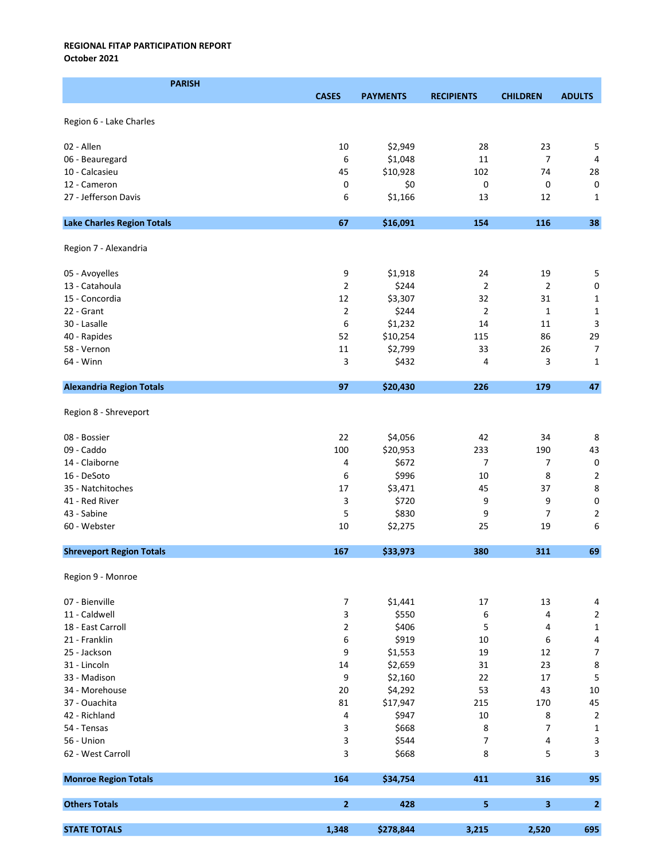October 2021

| <b>PARISH</b>                     |                |                 |                   |                 |                                        |
|-----------------------------------|----------------|-----------------|-------------------|-----------------|----------------------------------------|
|                                   | <b>CASES</b>   | <b>PAYMENTS</b> | <b>RECIPIENTS</b> | <b>CHILDREN</b> | <b>ADULTS</b>                          |
|                                   |                |                 |                   |                 |                                        |
| Region 6 - Lake Charles           |                |                 |                   |                 |                                        |
| 02 - Allen                        | 10             | \$2,949         | 28                | 23              | 5                                      |
| 06 - Beauregard                   | 6              | \$1,048         | 11                | $\overline{7}$  | 4                                      |
| 10 - Calcasieu                    | 45             | \$10,928        | 102               | 74              | 28                                     |
| 12 - Cameron                      | 0              | \$0             | 0                 | 0               | $\mathbf 0$                            |
| 27 - Jefferson Davis              | 6              | \$1,166         | 13                | 12              | $\mathbf{1}$                           |
|                                   |                |                 |                   |                 |                                        |
| <b>Lake Charles Region Totals</b> | 67             | \$16,091        | 154               | 116             | 38                                     |
| Region 7 - Alexandria             |                |                 |                   |                 |                                        |
| 05 - Avoyelles                    | 9              | \$1,918         | 24                | 19              | 5                                      |
| 13 - Catahoula                    | $\overline{2}$ | \$244           | $\overline{2}$    | $\overline{2}$  | $\mathbf 0$                            |
| 15 - Concordia                    | 12             | \$3,307         | 32                | 31              | $\mathbf{1}$                           |
| 22 - Grant                        | $\overline{2}$ | \$244           | $\overline{2}$    | 1               | $\mathbf{1}$                           |
| 30 - Lasalle                      | 6              | \$1,232         | 14                | 11              | 3                                      |
| 40 - Rapides                      | 52             | \$10,254        | 115               | 86              | 29                                     |
| 58 - Vernon                       | 11             | \$2,799         | 33                | 26              | $\overline{7}$                         |
| 64 - Winn                         | 3              | \$432           | 4                 | 3               | 1                                      |
|                                   |                |                 |                   |                 |                                        |
| <b>Alexandria Region Totals</b>   | 97             | \$20,430        | 226               | 179             | 47                                     |
| Region 8 - Shreveport             |                |                 |                   |                 |                                        |
| 08 - Bossier                      | 22             | \$4,056         | 42                | 34              | 8                                      |
| 09 - Caddo                        | 100            | \$20,953        | 233               | 190             | 43                                     |
| 14 - Claiborne                    | 4              | \$672           | $\overline{7}$    | 7               | $\pmb{0}$                              |
| 16 - DeSoto                       | 6              | \$996           | 10                | 8               | $\mathbf 2$                            |
| 35 - Natchitoches                 | 17             | \$3,471         | 45                | 37              | 8                                      |
| 41 - Red River                    | 3              | \$720           | 9                 | 9               | $\pmb{0}$                              |
| 43 - Sabine                       | 5              | \$830           | 9                 | 7               | $\mathbf 2$                            |
| 60 - Webster                      | 10             | \$2,275         | 25                | 19              | 6                                      |
| <b>Shreveport Region Totals</b>   | 167            | \$33,973        | 380               | 311             | 69                                     |
|                                   |                |                 |                   |                 |                                        |
| Region 9 - Monroe                 |                |                 |                   |                 |                                        |
| 07 - Bienville                    | $\overline{7}$ | \$1,441         | 17                | 13              | 4                                      |
| 11 - Caldwell                     | 3              | \$550           | 6                 | 4               | $\sqrt{2}$                             |
| 18 - East Carroll                 | $\overline{2}$ | \$406           | 5                 | 4               | $\mathbf 1$                            |
| 21 - Franklin                     | 6              | \$919           | 10                | 6               | $\pmb{4}$                              |
| 25 - Jackson                      | 9              | \$1,553         | 19                | 12              | $\boldsymbol{7}$                       |
| 31 - Lincoln                      | 14             | \$2,659         | 31                | 23              | $\bf 8$                                |
| 33 - Madison                      | 9              | \$2,160         | 22                | 17              | $\sqrt{5}$                             |
| 34 - Morehouse                    | 20             | \$4,292         | 53                | 43              | $10\,$                                 |
| 37 - Ouachita                     | 81             | \$17,947        | 215               | 170             | 45                                     |
| 42 - Richland                     | 4              | \$947           | 10                | 8               | $\mathbf 2$                            |
| 54 - Tensas                       | 3              | \$668           | 8                 | $\overline{7}$  | $\mathbf 1$                            |
| 56 - Union                        | 3              | \$544           | 7                 |                 |                                        |
| 62 - West Carroll                 | 3              | \$668           | 8                 | 4<br>5          | $\mathsf 3$<br>$\overline{\mathbf{3}}$ |
|                                   |                |                 |                   |                 |                                        |
| <b>Monroe Region Totals</b>       | 164            | \$34,754        | 411               | 316             | 95                                     |
| <b>Others Totals</b>              | $\overline{2}$ | 428             | 5                 | 3               | $\mathbf{2}$                           |
| <b>STATE TOTALS</b>               | 1,348          | \$278,844       | 3,215             | 2,520           | 695                                    |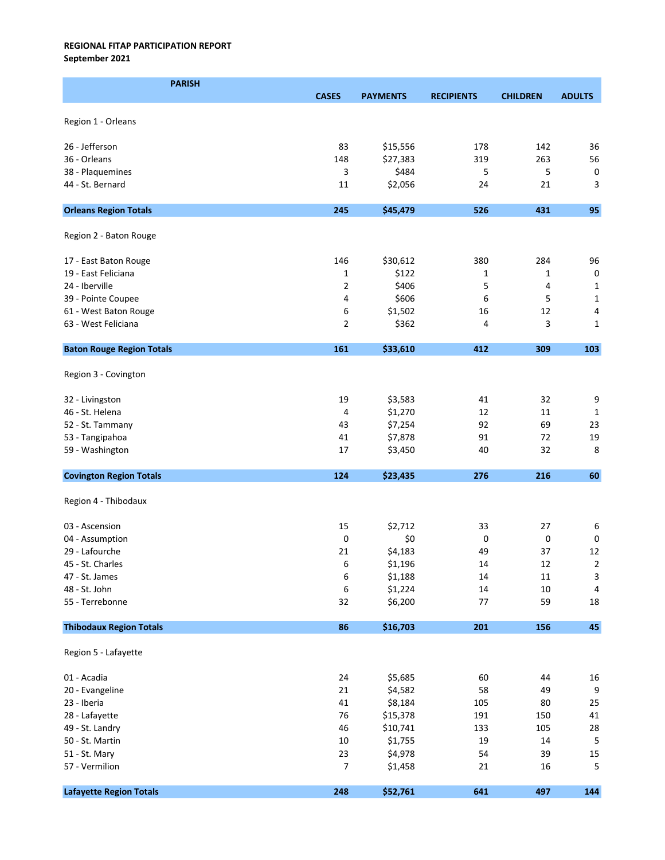September 2021

| <b>PARISH</b>                        |                |                     |                   |                 |                         |
|--------------------------------------|----------------|---------------------|-------------------|-----------------|-------------------------|
|                                      | <b>CASES</b>   | <b>PAYMENTS</b>     | <b>RECIPIENTS</b> | <b>CHILDREN</b> | <b>ADULTS</b>           |
|                                      |                |                     |                   |                 |                         |
| Region 1 - Orleans                   |                |                     |                   |                 |                         |
| 26 - Jefferson                       |                |                     | 178               | 142             |                         |
| 36 - Orleans                         | 83<br>148      | \$15,556            | 319               | 263             | 36<br>56                |
|                                      |                | \$27,383<br>\$484   |                   | 5               |                         |
| 38 - Plaquemines<br>44 - St. Bernard | 3              |                     | 5                 | 21              | $\pmb{0}$               |
|                                      | 11             | \$2,056             | 24                |                 | 3                       |
| <b>Orleans Region Totals</b>         | 245            | \$45,479            | 526               | 431             | 95                      |
| Region 2 - Baton Rouge               |                |                     |                   |                 |                         |
|                                      |                |                     |                   |                 |                         |
| 17 - East Baton Rouge                | 146            | \$30,612            | 380               | 284             | 96                      |
| 19 - East Feliciana                  | $\mathbf{1}$   | \$122               | 1                 | 1               | $\pmb{0}$               |
| 24 - Iberville                       | $\overline{2}$ | \$406               | 5                 | 4               | $\mathbf{1}$            |
| 39 - Pointe Coupee                   | 4              | \$606               | 6                 | 5               | $\mathbf{1}$            |
| 61 - West Baton Rouge                | 6              | \$1,502             | 16                | 12              | 4                       |
| 63 - West Feliciana                  | $\overline{2}$ | \$362               | 4                 | 3               | 1                       |
| <b>Baton Rouge Region Totals</b>     | 161            | \$33,610            | 412               | 309             | 103                     |
|                                      |                |                     |                   |                 |                         |
| Region 3 - Covington                 |                |                     |                   |                 |                         |
| 32 - Livingston                      | 19             | \$3,583             | 41                | 32              | 9                       |
| 46 - St. Helena                      | 4              | \$1,270             | 12                | 11              | 1                       |
| 52 - St. Tammany                     | 43             | \$7,254             | 92                | 69              | 23                      |
| 53 - Tangipahoa                      | 41             | \$7,878             | 91                | 72              | 19                      |
| 59 - Washington                      | 17             | \$3,450             | 40                | 32              | 8                       |
| <b>Covington Region Totals</b>       | 124            | \$23,435            | 276               | 216             | 60                      |
|                                      |                |                     |                   |                 |                         |
| Region 4 - Thibodaux                 |                |                     |                   |                 |                         |
| 03 - Ascension                       | 15             | \$2,712             | 33                | 27              | 6                       |
| 04 - Assumption                      | 0              | \$0                 | 0                 | 0               | $\pmb{0}$               |
| 29 - Lafourche                       | 21             | \$4,183             | 49                | 37              | 12                      |
| 45 - St. Charles                     | 6              | \$1,196             | 14                | 12              | $\overline{\mathbf{c}}$ |
| 47 - St. James                       | 6              | \$1,188             | 14                | 11              | 3                       |
| 48 - St. John                        | 6              | \$1,224             | 14                | 10              | 4                       |
| 55 - Terrebonne                      | 32             | \$6,200             | 77                | 59              | $18\,$                  |
| <b>Thibodaux Region Totals</b>       | 86             | \$16,703            | 201               | 156             | 45                      |
| Region 5 - Lafayette                 |                |                     |                   |                 |                         |
|                                      |                |                     |                   |                 |                         |
| 01 - Acadia                          | 24<br>21       | \$5,685             | 60<br>58          | 44              | 16<br>$\boldsymbol{9}$  |
| 20 - Evangeline<br>23 - Iberia       | 41             | \$4,582             | 105               | 49<br>80        | 25                      |
| 28 - Lafayette                       | 76             | \$8,184<br>\$15,378 | 191               | 150             | 41                      |
| 49 - St. Landry                      | 46             | \$10,741            | 133               | 105             | 28                      |
| 50 - St. Martin                      | $10\,$         | \$1,755             | 19                | 14              | $\overline{5}$          |
| 51 - St. Mary                        | 23             | \$4,978             | 54                | 39              | 15                      |
| 57 - Vermilion                       | $\overline{7}$ | \$1,458             | 21                | 16              | 5                       |
|                                      |                |                     |                   |                 |                         |
| <b>Lafayette Region Totals</b>       | 248            | \$52,761            | 641               | 497             | 144                     |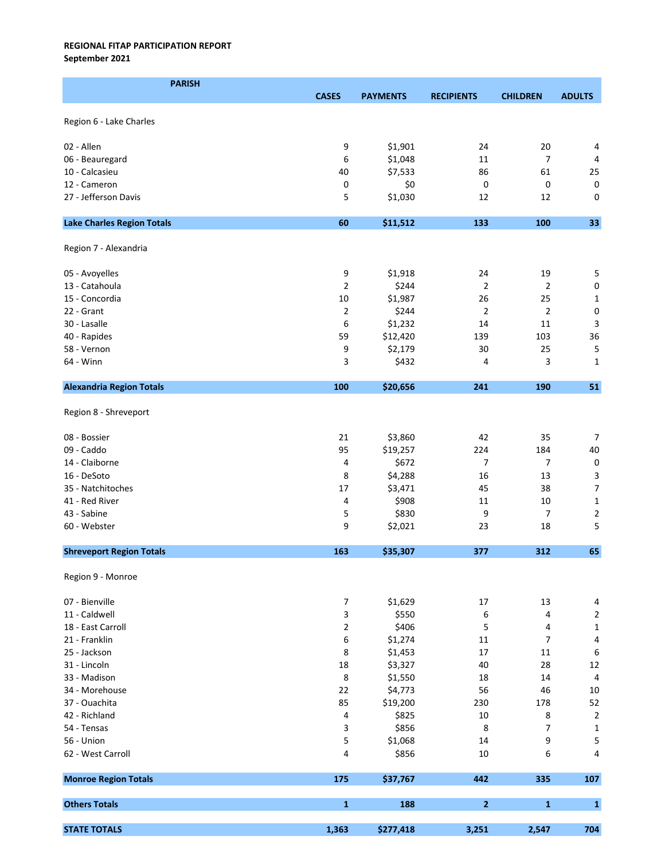September 2021

| <b>PARISH</b>                     |                |                 |                   |                 |                         |
|-----------------------------------|----------------|-----------------|-------------------|-----------------|-------------------------|
|                                   | <b>CASES</b>   | <b>PAYMENTS</b> | <b>RECIPIENTS</b> | <b>CHILDREN</b> | <b>ADULTS</b>           |
|                                   |                |                 |                   |                 |                         |
| Region 6 - Lake Charles           |                |                 |                   |                 |                         |
| 02 - Allen                        | 9              | \$1,901         | 24                | 20              | 4                       |
| 06 - Beauregard                   | 6              | \$1,048         | 11                | 7               | 4                       |
| 10 - Calcasieu                    | 40             | \$7,533         | 86                | 61              | 25                      |
| 12 - Cameron                      |                | \$0             |                   | 0               |                         |
|                                   | 0              |                 | 0                 |                 | $\mathsf 0$             |
| 27 - Jefferson Davis              | 5              | \$1,030         | 12                | 12              | 0                       |
| <b>Lake Charles Region Totals</b> | 60             | \$11,512        | 133               | 100             | 33                      |
| Region 7 - Alexandria             |                |                 |                   |                 |                         |
| 05 - Avoyelles                    | 9              | \$1,918         | 24                | 19              | 5                       |
| 13 - Catahoula                    | $\overline{2}$ | \$244           | $\overline{2}$    | $\overline{2}$  | $\pmb{0}$               |
| 15 - Concordia                    | 10             | \$1,987         | 26                | 25              | $\mathbf 1$             |
| 22 - Grant                        | $\overline{2}$ | \$244           | $\overline{2}$    | $\overline{2}$  | 0                       |
| 30 - Lasalle                      | 6              | \$1,232         | 14                | 11              | 3                       |
| 40 - Rapides                      | 59             | \$12,420        | 139               | 103             | 36                      |
| 58 - Vernon                       | 9              | \$2,179         | 30                | 25              | 5                       |
| 64 - Winn                         | 3              | \$432           | 4                 | 3               | $\mathbf{1}$            |
|                                   |                |                 |                   |                 |                         |
| <b>Alexandria Region Totals</b>   | 100            | \$20,656        | 241               | 190             | 51                      |
| Region 8 - Shreveport             |                |                 |                   |                 |                         |
| 08 - Bossier                      | 21             | \$3,860         | 42                | 35              | $\overline{7}$          |
| 09 - Caddo                        | 95             | \$19,257        | 224               | 184             | 40                      |
| 14 - Claiborne                    | 4              | \$672           | 7                 | $\overline{7}$  | $\pmb{0}$               |
| 16 - DeSoto                       | 8              | \$4,288         | 16                | 13              | $\overline{\mathbf{3}}$ |
| 35 - Natchitoches                 | 17             | \$3,471         | 45                | 38              | $\overline{7}$          |
| 41 - Red River                    | 4              | \$908           | 11                | 10              | $\mathbf 1$             |
| 43 - Sabine                       | 5              | \$830           | 9                 | $\overline{7}$  | $\mathbf 2$             |
| 60 - Webster                      | 9              | \$2,021         | 23                | 18              | 5                       |
|                                   |                |                 |                   |                 |                         |
| <b>Shreveport Region Totals</b>   | 163            | \$35,307        | 377               | 312             | 65                      |
| Region 9 - Monroe                 |                |                 |                   |                 |                         |
| 07 - Bienville                    | $\overline{7}$ | \$1,629         | 17                | 13              | $\overline{4}$          |
| 11 - Caldwell                     | 3              | \$550           | 6                 | 4               | $\mathbf 2$             |
| 18 - East Carroll                 | $\overline{2}$ | \$406           | 5                 | 4               | $\mathbf 1$             |
| 21 - Franklin                     | 6              | \$1,274         | 11                | 7               | $\overline{\mathbf{4}}$ |
| 25 - Jackson                      | 8              | \$1,453         | 17                | 11              | $\,6\,$                 |
| 31 - Lincoln                      | 18             | \$3,327         | 40                | 28              | 12                      |
| 33 - Madison                      | 8              | \$1,550         | 18                | 14              | $\sqrt{4}$              |
| 34 - Morehouse                    | 22             | \$4,773         | 56                | 46              | 10                      |
| 37 - Ouachita                     | 85             | \$19,200        | 230               | 178             | 52                      |
| 42 - Richland                     | 4              | \$825           | 10                | 8               | $\sqrt{2}$              |
|                                   |                | \$856           |                   | 7               |                         |
| 54 - Tensas                       | 3              |                 | 8                 |                 | $\mathbf 1$             |
| 56 - Union                        | 5              | \$1,068         | $14\,$            | 9               | 5                       |
| 62 - West Carroll                 | 4              | \$856           | 10                | 6               | 4                       |
| <b>Monroe Region Totals</b>       | 175            | \$37,767        | 442               | 335             | 107                     |
| <b>Others Totals</b>              | $\mathbf 1$    | 188             | $\mathbf{2}$      | $\mathbf{1}$    | $\mathbf{1}$            |
| <b>STATE TOTALS</b>               | 1,363          | \$277,418       | 3,251             | 2,547           | 704                     |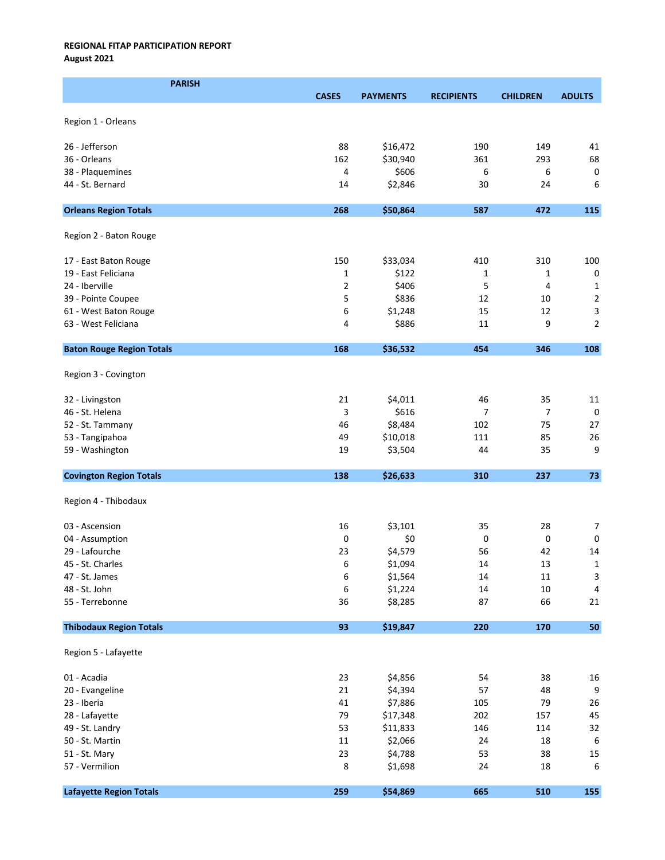August 2021

| <b>PARISH</b>                    |              |                 |                   |                 |                           |
|----------------------------------|--------------|-----------------|-------------------|-----------------|---------------------------|
|                                  | <b>CASES</b> | <b>PAYMENTS</b> | <b>RECIPIENTS</b> | <b>CHILDREN</b> | <b>ADULTS</b>             |
|                                  |              |                 |                   |                 |                           |
| Region 1 - Orleans               |              |                 |                   |                 |                           |
| 26 - Jefferson                   | 88           | \$16,472        | 190               | 149             | 41                        |
| 36 - Orleans                     | 162          | \$30,940        | 361               | 293             | 68                        |
| 38 - Plaquemines                 | 4            | \$606           | 6                 | 6               | $\mathsf 0$               |
| 44 - St. Bernard                 | 14           | \$2,846         | 30                | 24              | 6                         |
|                                  |              |                 |                   |                 |                           |
| <b>Orleans Region Totals</b>     | 268          | \$50,864        | 587               | 472             | 115                       |
| Region 2 - Baton Rouge           |              |                 |                   |                 |                           |
| 17 - East Baton Rouge            | 150          | \$33,034        | 410               | 310             | 100                       |
| 19 - East Feliciana              | 1            | \$122           | 1                 | 1               | $\pmb{0}$                 |
| 24 - Iberville                   | 2            | \$406           | 5                 | 4               | $\mathbf{1}$              |
| 39 - Pointe Coupee               | 5            | \$836           | 12                | 10              | $\mathbf 2$               |
| 61 - West Baton Rouge            | 6            | \$1,248         | 15                | 12              | $\ensuremath{\mathsf{3}}$ |
| 63 - West Feliciana              | 4            | \$886           | 11                | 9               | $\mathbf 2$               |
| <b>Baton Rouge Region Totals</b> | 168          | \$36,532        | 454               | 346             | 108                       |
| Region 3 - Covington             |              |                 |                   |                 |                           |
| 32 - Livingston                  | 21           | \$4,011         | 46                | 35              | 11                        |
| 46 - St. Helena                  | 3            | \$616           | 7                 | 7               | 0                         |
| 52 - St. Tammany                 | 46           | \$8,484         | 102               | 75              | 27                        |
| 53 - Tangipahoa                  | 49           | \$10,018        | 111               | 85              | 26                        |
| 59 - Washington                  | 19           | \$3,504         | 44                | 35              | 9                         |
| <b>Covington Region Totals</b>   | 138          | \$26,633        | 310               | 237             | 73                        |
|                                  |              |                 |                   |                 |                           |
| Region 4 - Thibodaux             |              |                 |                   |                 |                           |
| 03 - Ascension                   | 16           | \$3,101         | 35                | 28              | $\overline{7}$            |
| 04 - Assumption                  | 0            | \$0             | 0                 | 0               | 0                         |
| 29 - Lafourche                   | 23           | \$4,579         | 56                | 42              | 14                        |
| 45 - St. Charles                 | 6            | \$1,094         | $14\,$            | 13              | $\mathbf{1}$              |
| 47 - St. James                   | 6            | \$1,564         | 14                | 11              | 3                         |
| 48 - St. John                    | 6            | \$1,224         | $14\,$            | $10\,$          | $\overline{4}$            |
| 55 - Terrebonne                  | 36           | \$8,285         | 87                | 66              | 21                        |
| <b>Thibodaux Region Totals</b>   | 93           | \$19,847        | 220               | 170             | 50                        |
| Region 5 - Lafayette             |              |                 |                   |                 |                           |
| 01 - Acadia                      | 23           | \$4,856         | 54                | 38              | 16                        |
| 20 - Evangeline                  | 21           | \$4,394         | 57                | 48              | 9                         |
| 23 - Iberia                      | 41           | \$7,886         | 105               | 79              | 26                        |
| 28 - Lafayette                   | 79           | \$17,348        | 202               | 157             | 45                        |
| 49 - St. Landry                  | 53           | \$11,833        | 146               | 114             | 32                        |
| 50 - St. Martin                  | 11           | \$2,066         | 24                | 18              | $\boldsymbol{6}$          |
| 51 - St. Mary                    | 23           | \$4,788         | 53                | 38              | 15                        |
| 57 - Vermilion                   | 8            | \$1,698         | 24                | 18              | 6                         |
| <b>Lafayette Region Totals</b>   | 259          | \$54,869        | 665               | 510             | 155                       |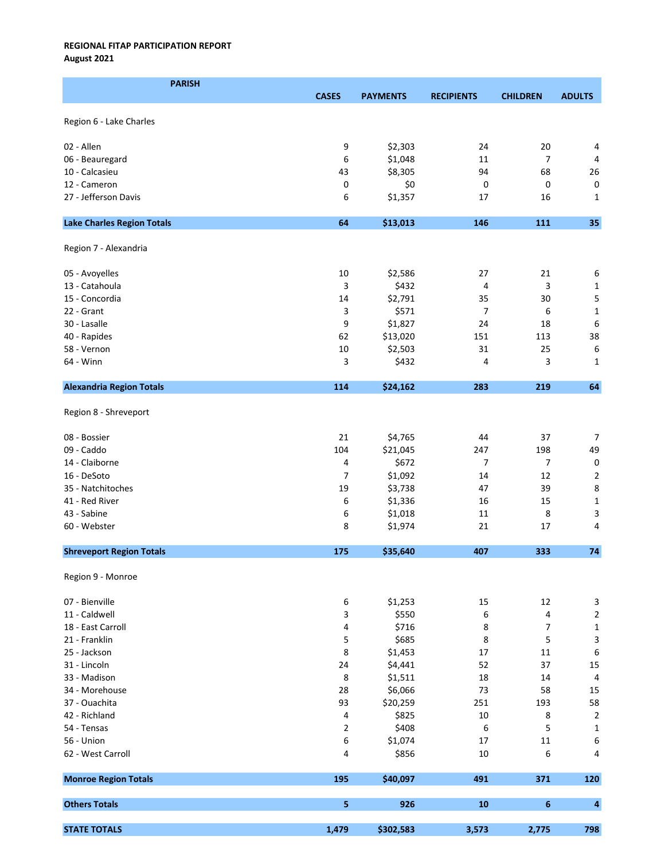August 2021

| <b>PARISH</b>                     |                |                 |                   |                 |                           |
|-----------------------------------|----------------|-----------------|-------------------|-----------------|---------------------------|
|                                   | <b>CASES</b>   | <b>PAYMENTS</b> | <b>RECIPIENTS</b> | <b>CHILDREN</b> | <b>ADULTS</b>             |
|                                   |                |                 |                   |                 |                           |
| Region 6 - Lake Charles           |                |                 |                   |                 |                           |
| 02 - Allen                        | 9              | \$2,303         | 24                | 20              | 4                         |
| 06 - Beauregard                   | 6              | \$1,048         | 11                | $\overline{7}$  | $\overline{4}$            |
| 10 - Calcasieu                    | 43             | \$8,305         | 94                | 68              | 26                        |
| 12 - Cameron                      | 0              | \$0             | 0                 | 0               | $\mathsf 0$               |
| 27 - Jefferson Davis              | 6              | \$1,357         | 17                | 16              | $\mathbf{1}$              |
|                                   |                |                 |                   |                 |                           |
| <b>Lake Charles Region Totals</b> | 64             | \$13,013        | 146               | 111             | 35                        |
| Region 7 - Alexandria             |                |                 |                   |                 |                           |
| 05 - Avoyelles                    | 10             | \$2,586         | 27                | 21              | 6                         |
| 13 - Catahoula                    | 3              | \$432           | 4                 | 3               | $\mathbf{1}$              |
| 15 - Concordia                    | 14             | \$2,791         | 35                | 30              | 5                         |
| 22 - Grant                        | 3              | \$571           | 7                 | 6               | $\mathbf 1$               |
| 30 - Lasalle                      | 9              | \$1,827         | 24                | 18              | 6                         |
| 40 - Rapides                      | 62             | \$13,020        | 151               | 113             | 38                        |
| 58 - Vernon                       | 10             | \$2,503         | 31                | 25              | 6                         |
| 64 - Winn                         | 3              | \$432           | 4                 | 3               | 1                         |
| <b>Alexandria Region Totals</b>   | 114            | \$24,162        | 283               | 219             | 64                        |
|                                   |                |                 |                   |                 |                           |
| Region 8 - Shreveport             |                |                 |                   |                 |                           |
| 08 - Bossier                      | 21             | \$4,765         | 44                | 37              | $\overline{7}$            |
| 09 - Caddo                        | 104            | \$21,045        | 247               | 198             | 49                        |
| 14 - Claiborne                    | 4              | \$672           | 7                 | 7               | $\mathsf 0$               |
| 16 - DeSoto                       | 7              | \$1,092         | 14                | 12              | $\overline{2}$            |
| 35 - Natchitoches                 | 19             | \$3,738         | 47                | 39              | 8                         |
| 41 - Red River                    | 6              | \$1,336         | 16                | 15              | $\mathbf 1$               |
| 43 - Sabine                       | 6              | \$1,018         | 11                | 8               | 3                         |
| 60 - Webster                      | 8              | \$1,974         | 21                | 17              | 4                         |
| <b>Shreveport Region Totals</b>   | 175            | \$35,640        | 407               | 333             | 74                        |
| Region 9 - Monroe                 |                |                 |                   |                 |                           |
|                                   |                |                 |                   |                 |                           |
| 07 - Bienville                    | 6              | \$1,253         | 15                | 12              | $\ensuremath{\mathsf{3}}$ |
| 11 - Caldwell                     | 3              | \$550           | 6                 | 4               | $\sqrt{2}$                |
| 18 - East Carroll                 | 4              | \$716           | 8                 | 7               | $\mathbf 1$               |
| 21 - Franklin                     | 5              | \$685           | 8                 | 5               | $\ensuremath{\mathsf{3}}$ |
| 25 - Jackson                      | 8              | \$1,453         | 17                | 11              | 6                         |
| 31 - Lincoln                      | 24             | \$4,441         | 52                | 37              | 15                        |
| 33 - Madison                      | 8              | \$1,511         | 18                | 14              | $\overline{a}$            |
| 34 - Morehouse                    | 28             | \$6,066         | 73                | 58              | 15                        |
| 37 - Ouachita                     | 93             | \$20,259        | 251               | 193             | 58                        |
| 42 - Richland                     | 4              | \$825           | 10                | 8               | $\overline{2}$            |
| 54 - Tensas                       | $\overline{2}$ | \$408           | 6                 | 5               | $\mathbf 1$               |
| 56 - Union                        | 6              | \$1,074         | $17\,$            | 11              | 6                         |
| 62 - West Carroll                 | 4              | \$856           | 10                | 6               | 4                         |
| <b>Monroe Region Totals</b>       | 195            | \$40,097        | 491               | 371             | 120                       |
| <b>Others Totals</b>              | 5              | 926             | 10                | $\bf 6$         | $\overline{\mathbf{4}}$   |
|                                   |                |                 |                   |                 |                           |
| <b>STATE TOTALS</b>               | 1,479          | \$302,583       | 3,573             | 2,775           | 798                       |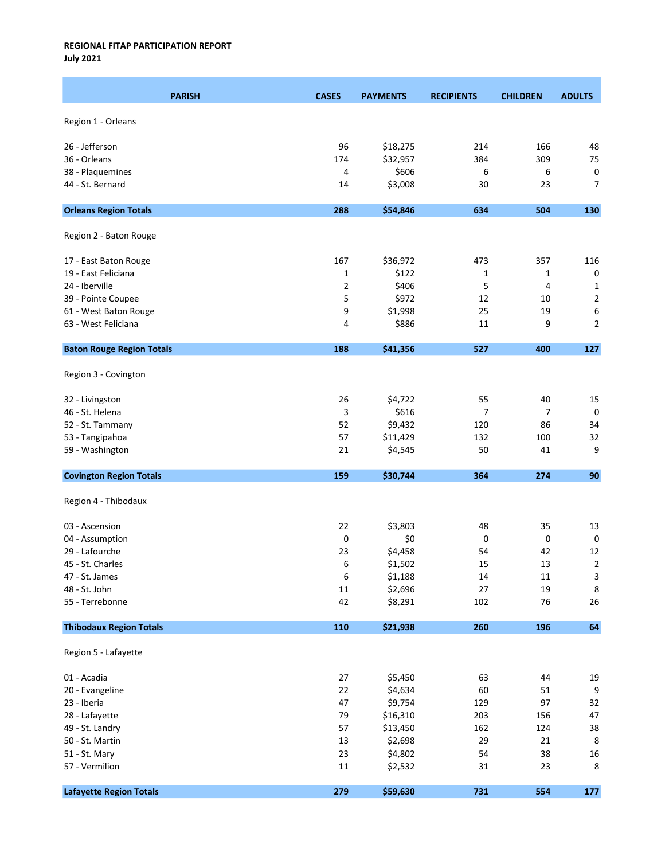July 2021

| <b>PARISH</b>                    | <b>CASES</b> | <b>PAYMENTS</b> | <b>RECIPIENTS</b> | <b>CHILDREN</b> | <b>ADULTS</b>  |
|----------------------------------|--------------|-----------------|-------------------|-----------------|----------------|
| Region 1 - Orleans               |              |                 |                   |                 |                |
| 26 - Jefferson                   | 96           | \$18,275        | 214               | 166             | 48             |
| 36 - Orleans                     | 174          | \$32,957        | 384               | 309             | 75             |
| 38 - Plaquemines                 | 4            | \$606           | 6                 | 6               | 0              |
| 44 - St. Bernard                 | 14           | \$3,008         | 30                | 23              | $\overline{7}$ |
|                                  |              |                 |                   |                 |                |
| <b>Orleans Region Totals</b>     | 288          | \$54,846        | 634               | 504             | 130            |
| Region 2 - Baton Rouge           |              |                 |                   |                 |                |
| 17 - East Baton Rouge            | 167          | \$36,972        | 473               | 357             | 116            |
| 19 - East Feliciana              | 1            | \$122           | 1                 | $\mathbf{1}$    | $\pmb{0}$      |
| 24 - Iberville                   | 2            | \$406           | 5                 | 4               | $\mathbf{1}$   |
| 39 - Pointe Coupee               | 5            | \$972           | 12                | 10              | $\overline{2}$ |
| 61 - West Baton Rouge            | 9            | \$1,998         | 25                | 19              | 6              |
| 63 - West Feliciana              | 4            | \$886           | $11\,$            | 9               | $\overline{2}$ |
| <b>Baton Rouge Region Totals</b> | 188          | \$41,356        | 527               | 400             | 127            |
| Region 3 - Covington             |              |                 |                   |                 |                |
| 32 - Livingston                  | 26           | \$4,722         | 55                | 40              | 15             |
| 46 - St. Helena                  | 3            | \$616           | 7                 | 7               | $\mathbf 0$    |
| 52 - St. Tammany                 | 52           | \$9,432         | 120               | 86              | 34             |
| 53 - Tangipahoa                  | 57           | \$11,429        | 132               | 100             | 32             |
| 59 - Washington                  | 21           | \$4,545         | 50                | 41              | 9              |
| <b>Covington Region Totals</b>   | 159          | \$30,744        | 364               | 274             | 90             |
| Region 4 - Thibodaux             |              |                 |                   |                 |                |
| 03 - Ascension                   | 22           | \$3,803         | 48                | 35              | 13             |
| 04 - Assumption                  | 0            | \$0             | 0                 | 0               | $\mathbf 0$    |
| 29 - Lafourche                   | 23           | \$4,458         | 54                | 42              | 12             |
| 45 - St. Charles                 | 6            | \$1,502         | 15                | 13              | $\overline{2}$ |
| 47 - St. James                   | 6            | \$1,188         | 14                | $11\,$          | $\mathsf 3$    |
| 48 - St. John                    | $11\,$       | \$2,696         | 27                | 19              | $\bf 8$        |
| 55 - Terrebonne                  | 42           | \$8,291         | 102               | 76              | 26             |
| <b>Thibodaux Region Totals</b>   | 110          | \$21,938        | 260               | 196             | 64             |
| Region 5 - Lafayette             |              |                 |                   |                 |                |
| 01 - Acadia                      | 27           | \$5,450         | 63                | 44              | 19             |
| 20 - Evangeline                  | 22           | \$4,634         | 60                | 51              | 9              |
| 23 - Iberia                      | 47           | \$9,754         | 129               | 97              | 32             |
| 28 - Lafayette                   | 79           | \$16,310        | 203               | 156             | 47             |
| 49 - St. Landry                  | 57           | \$13,450        | 162               | 124             | 38             |
| 50 - St. Martin                  | 13           | \$2,698         | 29                | 21              | 8              |
| 51 - St. Mary                    | 23           | \$4,802         | 54                | 38              | 16             |
| 57 - Vermilion                   | $11\,$       | \$2,532         | 31                | 23              | 8              |
| <b>Lafayette Region Totals</b>   | 279          | \$59,630        | 731               | 554             | 177            |